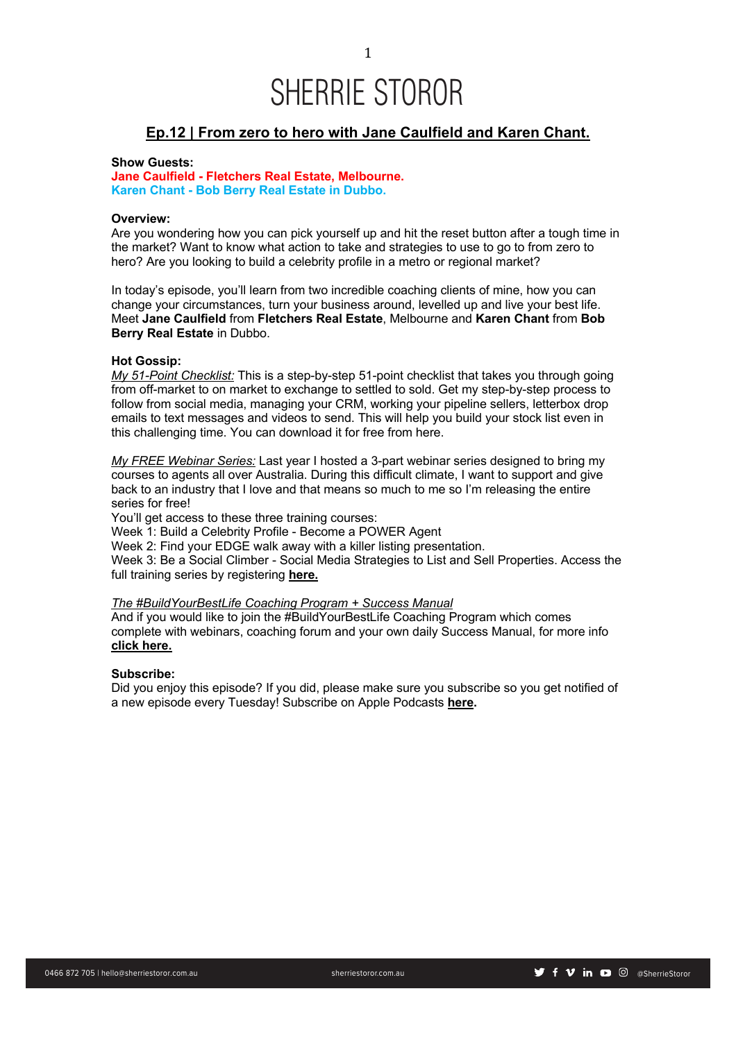## **Ep.12 | From zero to hero with Jane Caulfield and Karen Chant.**

## **Show Guests:**

**Jane Caulfield - Fletchers Real Estate, Melbourne. Karen Chant - Bob Berry Real Estate in Dubbo.**

## **Overview:**

Are you wondering how you can pick yourself up and hit the reset button after a tough time in the market? Want to know what action to take and strategies to use to go to from zero to hero? Are you looking to build a celebrity profile in a metro or regional market?

In today's episode, you'll learn from two incredible coaching clients of mine, how you can change your circumstances, turn your business around, levelled up and live your best life. Meet **Jane Caulfield** from **Fletchers Real Estate**, Melbourne and **Karen Chant** from **Bob Berry Real Estate** in Dubbo.

## **Hot Gossip:**

*My 51-Point Checklist:* This is a step-by-step 51-point checklist that takes you through going from off-market to on market to exchange to settled to sold. Get my step-by-step process to follow from social media, managing your CRM, working your pipeline sellers, letterbox drop emails to text messages and videos to send. This will help you build your stock list even in this challenging time. You can download it for free from here.

*My FREE Webinar Series:* Last year I hosted a 3-part webinar series designed to bring my courses to agents all over Australia. During this difficult climate, I want to support and give back to an industry that I love and that means so much to me so I'm releasing the entire series for free!

You'll get access to these three training courses:

Week 1: Build a Celebrity Profile - Become a POWER Agent

Week 2: Find your EDGE walk away with a killer listing presentation.

Week 3: Be a Social Climber - Social Media Strategies to List and Sell Properties. Access the full training series by registering **here.**

## *The #BuildYourBestLife Coaching Program + Success Manual*

And if you would like to join the #BuildYourBestLife Coaching Program which comes complete with webinars, coaching forum and your own daily Success Manual, for more info **click here.**

## **Subscribe:**

Did you enjoy this episode? If you did, please make sure you subscribe so you get notified of a new episode every Tuesday! Subscribe on Apple Podcasts **here.**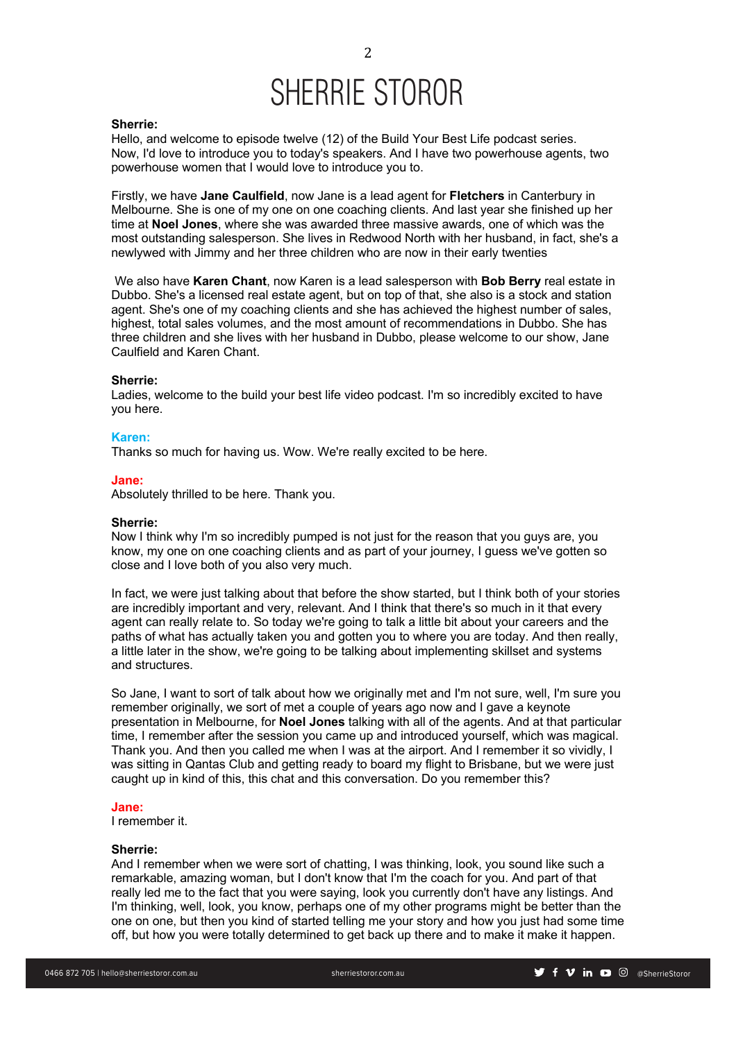### **Sherrie:**

Hello, and welcome to episode twelve (12) of the Build Your Best Life podcast series. Now, I'd love to introduce you to today's speakers. And I have two powerhouse agents, two powerhouse women that I would love to introduce you to.

Firstly, we have **Jane Caulfield**, now Jane is a lead agent for **Fletchers** in Canterbury in Melbourne. She is one of my one on one coaching clients. And last year she finished up her time at **Noel Jones**, where she was awarded three massive awards, one of which was the most outstanding salesperson. She lives in Redwood North with her husband, in fact, she's a newlywed with Jimmy and her three children who are now in their early twenties

We also have **Karen Chant**, now Karen is a lead salesperson with **Bob Berry** real estate in Dubbo. She's a licensed real estate agent, but on top of that, she also is a stock and station agent. She's one of my coaching clients and she has achieved the highest number of sales, highest, total sales volumes, and the most amount of recommendations in Dubbo. She has three children and she lives with her husband in Dubbo, please welcome to our show, Jane Caulfield and Karen Chant.

### **Sherrie:**

Ladies, welcome to the build your best life video podcast. I'm so incredibly excited to have you here.

### **Karen:**

Thanks so much for having us. Wow. We're really excited to be here.

#### **Jane:**

Absolutely thrilled to be here. Thank you.

## **Sherrie:**

Now I think why I'm so incredibly pumped is not just for the reason that you guys are, you know, my one on one coaching clients and as part of your journey, I guess we've gotten so close and I love both of you also very much.

In fact, we were just talking about that before the show started, but I think both of your stories are incredibly important and very, relevant. And I think that there's so much in it that every agent can really relate to. So today we're going to talk a little bit about your careers and the paths of what has actually taken you and gotten you to where you are today. And then really, a little later in the show, we're going to be talking about implementing skillset and systems and structures.

So Jane, I want to sort of talk about how we originally met and I'm not sure, well, I'm sure you remember originally, we sort of met a couple of years ago now and I gave a keynote presentation in Melbourne, for **Noel Jones** talking with all of the agents. And at that particular time, I remember after the session you came up and introduced yourself, which was magical. Thank you. And then you called me when I was at the airport. And I remember it so vividly, I was sitting in Qantas Club and getting ready to board my flight to Brisbane, but we were just caught up in kind of this, this chat and this conversation. Do you remember this?

#### **Jane:**

I remember it.

### **Sherrie:**

And I remember when we were sort of chatting, I was thinking, look, you sound like such a remarkable, amazing woman, but I don't know that I'm the coach for you. And part of that really led me to the fact that you were saying, look you currently don't have any listings. And I'm thinking, well, look, you know, perhaps one of my other programs might be better than the one on one, but then you kind of started telling me your story and how you just had some time off, but how you were totally determined to get back up there and to make it make it happen.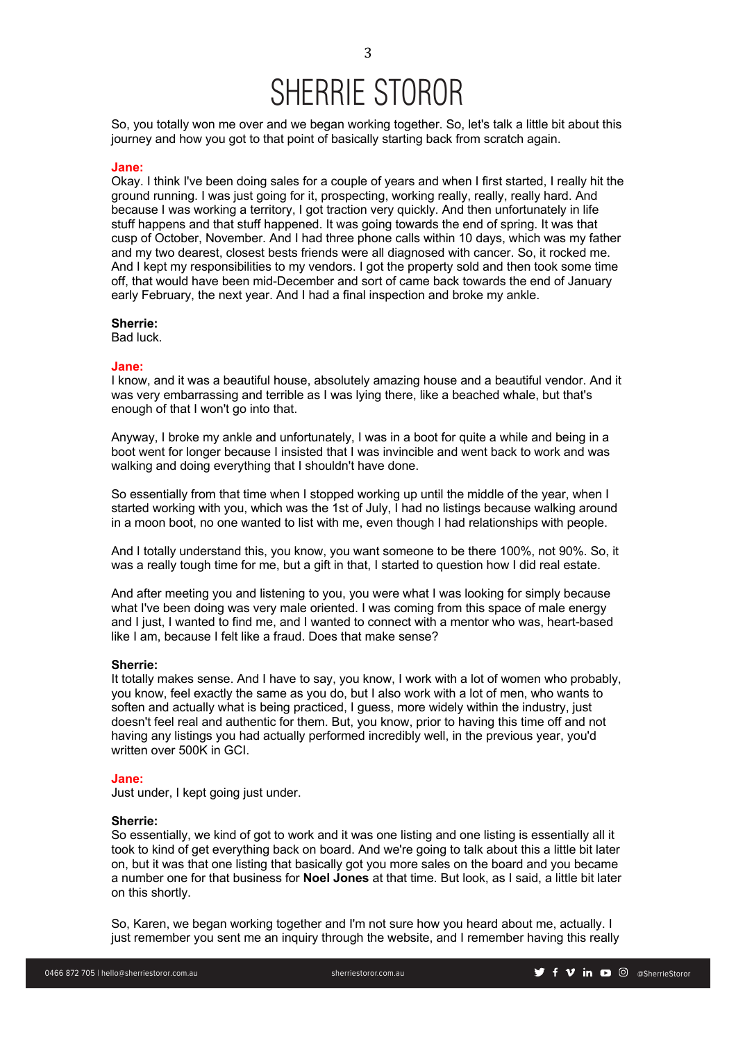So, you totally won me over and we began working together. So, let's talk a little bit about this journey and how you got to that point of basically starting back from scratch again.

### **Jane:**

Okay. I think I've been doing sales for a couple of years and when I first started, I really hit the ground running. I was just going for it, prospecting, working really, really, really hard. And because I was working a territory, I got traction very quickly. And then unfortunately in life stuff happens and that stuff happened. It was going towards the end of spring. It was that cusp of October, November. And I had three phone calls within 10 days, which was my father and my two dearest, closest bests friends were all diagnosed with cancer. So, it rocked me. And I kept my responsibilities to my vendors. I got the property sold and then took some time off, that would have been mid-December and sort of came back towards the end of January early February, the next year. And I had a final inspection and broke my ankle.

## **Sherrie:**

Bad luck.

### **Jane:**

I know, and it was a beautiful house, absolutely amazing house and a beautiful vendor. And it was very embarrassing and terrible as I was lying there, like a beached whale, but that's enough of that I won't go into that.

Anyway, I broke my ankle and unfortunately, I was in a boot for quite a while and being in a boot went for longer because I insisted that I was invincible and went back to work and was walking and doing everything that I shouldn't have done.

So essentially from that time when I stopped working up until the middle of the year, when I started working with you, which was the 1st of July, I had no listings because walking around in a moon boot, no one wanted to list with me, even though I had relationships with people.

And I totally understand this, you know, you want someone to be there 100%, not 90%. So, it was a really tough time for me, but a gift in that, I started to question how I did real estate.

And after meeting you and listening to you, you were what I was looking for simply because what I've been doing was very male oriented. I was coming from this space of male energy and I just, I wanted to find me, and I wanted to connect with a mentor who was, heart-based like I am, because I felt like a fraud. Does that make sense?

### **Sherrie:**

It totally makes sense. And I have to say, you know, I work with a lot of women who probably, you know, feel exactly the same as you do, but I also work with a lot of men, who wants to soften and actually what is being practiced, I guess, more widely within the industry, just doesn't feel real and authentic for them. But, you know, prior to having this time off and not having any listings you had actually performed incredibly well, in the previous year, you'd written over 500K in GCI.

#### **Jane:**

Just under, I kept going just under.

## **Sherrie:**

So essentially, we kind of got to work and it was one listing and one listing is essentially all it took to kind of get everything back on board. And we're going to talk about this a little bit later on, but it was that one listing that basically got you more sales on the board and you became a number one for that business for **Noel Jones** at that time. But look, as I said, a little bit later on this shortly.

So, Karen, we began working together and I'm not sure how you heard about me, actually. I just remember you sent me an inquiry through the website, and I remember having this really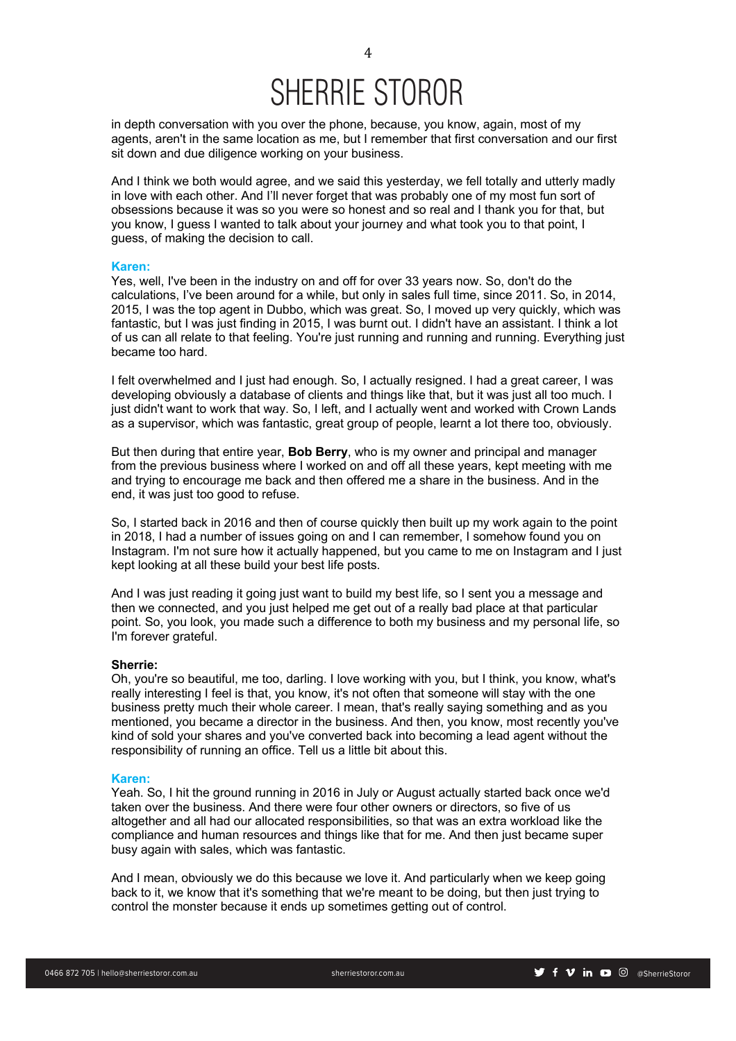in depth conversation with you over the phone, because, you know, again, most of my agents, aren't in the same location as me, but I remember that first conversation and our first sit down and due diligence working on your business.

And I think we both would agree, and we said this yesterday, we fell totally and utterly madly in love with each other. And I'll never forget that was probably one of my most fun sort of obsessions because it was so you were so honest and so real and I thank you for that, but you know, I guess I wanted to talk about your journey and what took you to that point, I guess, of making the decision to call.

#### **Karen:**

Yes, well, I've been in the industry on and off for over 33 years now. So, don't do the calculations, I've been around for a while, but only in sales full time, since 2011. So, in 2014, 2015, I was the top agent in Dubbo, which was great. So, I moved up very quickly, which was fantastic, but I was just finding in 2015, I was burnt out. I didn't have an assistant. I think a lot of us can all relate to that feeling. You're just running and running and running. Everything just became too hard.

I felt overwhelmed and I just had enough. So, I actually resigned. I had a great career, I was developing obviously a database of clients and things like that, but it was just all too much. I just didn't want to work that way. So, I left, and I actually went and worked with Crown Lands as a supervisor, which was fantastic, great group of people, learnt a lot there too, obviously.

But then during that entire year, **Bob Berry**, who is my owner and principal and manager from the previous business where I worked on and off all these years, kept meeting with me and trying to encourage me back and then offered me a share in the business. And in the end, it was just too good to refuse.

So, I started back in 2016 and then of course quickly then built up my work again to the point in 2018, I had a number of issues going on and I can remember, I somehow found you on Instagram. I'm not sure how it actually happened, but you came to me on Instagram and I just kept looking at all these build your best life posts.

And I was just reading it going just want to build my best life, so I sent you a message and then we connected, and you just helped me get out of a really bad place at that particular point. So, you look, you made such a difference to both my business and my personal life, so I'm forever grateful.

#### **Sherrie:**

Oh, you're so beautiful, me too, darling. I love working with you, but I think, you know, what's really interesting I feel is that, you know, it's not often that someone will stay with the one business pretty much their whole career. I mean, that's really saying something and as you mentioned, you became a director in the business. And then, you know, most recently you've kind of sold your shares and you've converted back into becoming a lead agent without the responsibility of running an office. Tell us a little bit about this.

#### **Karen:**

Yeah. So, I hit the ground running in 2016 in July or August actually started back once we'd taken over the business. And there were four other owners or directors, so five of us altogether and all had our allocated responsibilities, so that was an extra workload like the compliance and human resources and things like that for me. And then just became super busy again with sales, which was fantastic.

And I mean, obviously we do this because we love it. And particularly when we keep going back to it, we know that it's something that we're meant to be doing, but then just trying to control the monster because it ends up sometimes getting out of control.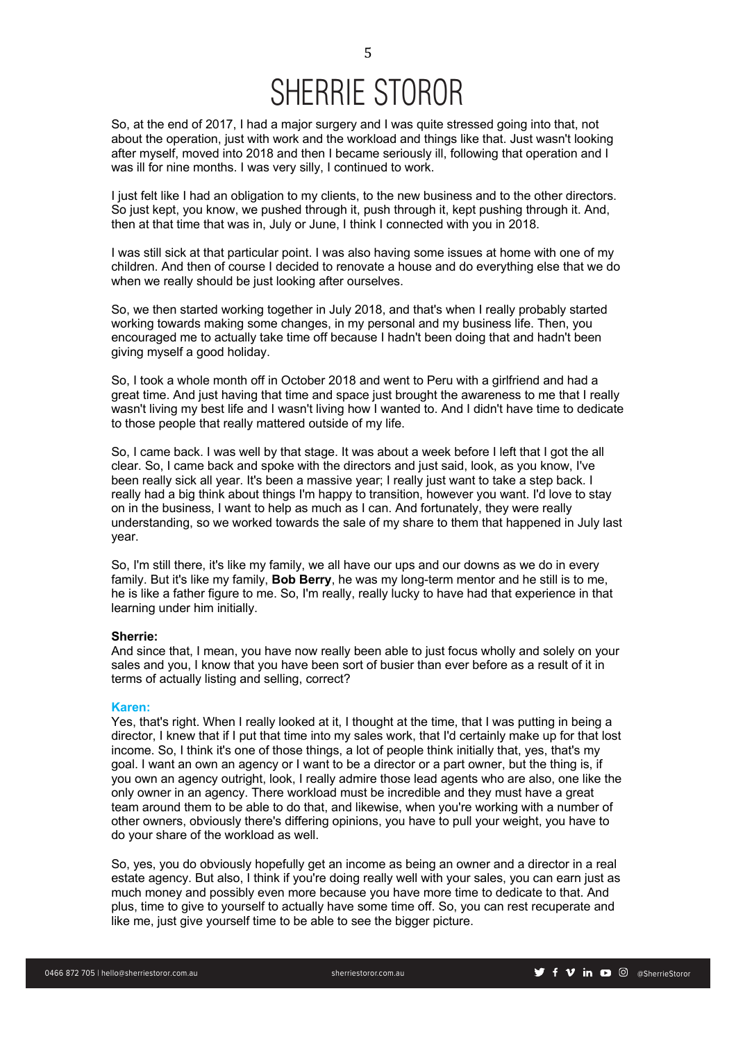So, at the end of 2017, I had a major surgery and I was quite stressed going into that, not about the operation, just with work and the workload and things like that. Just wasn't looking after myself, moved into 2018 and then I became seriously ill, following that operation and I was ill for nine months. I was very silly, I continued to work.

I just felt like I had an obligation to my clients, to the new business and to the other directors. So just kept, you know, we pushed through it, push through it, kept pushing through it. And, then at that time that was in, July or June, I think I connected with you in 2018.

I was still sick at that particular point. I was also having some issues at home with one of my children. And then of course I decided to renovate a house and do everything else that we do when we really should be just looking after ourselves.

So, we then started working together in July 2018, and that's when I really probably started working towards making some changes, in my personal and my business life. Then, you encouraged me to actually take time off because I hadn't been doing that and hadn't been giving myself a good holiday.

So, I took a whole month off in October 2018 and went to Peru with a girlfriend and had a great time. And just having that time and space just brought the awareness to me that I really wasn't living my best life and I wasn't living how I wanted to. And I didn't have time to dedicate to those people that really mattered outside of my life.

So, I came back. I was well by that stage. It was about a week before I left that I got the all clear. So, I came back and spoke with the directors and just said, look, as you know, I've been really sick all year. It's been a massive year; I really just want to take a step back. I really had a big think about things I'm happy to transition, however you want. I'd love to stay on in the business, I want to help as much as I can. And fortunately, they were really understanding, so we worked towards the sale of my share to them that happened in July last year.

So, I'm still there, it's like my family, we all have our ups and our downs as we do in every family. But it's like my family, **Bob Berry**, he was my long-term mentor and he still is to me, he is like a father figure to me. So, I'm really, really lucky to have had that experience in that learning under him initially.

## **Sherrie:**

And since that, I mean, you have now really been able to just focus wholly and solely on your sales and you, I know that you have been sort of busier than ever before as a result of it in terms of actually listing and selling, correct?

## **Karen:**

Yes, that's right. When I really looked at it, I thought at the time, that I was putting in being a director, I knew that if I put that time into my sales work, that I'd certainly make up for that lost income. So, I think it's one of those things, a lot of people think initially that, yes, that's my goal. I want an own an agency or I want to be a director or a part owner, but the thing is, if you own an agency outright, look, I really admire those lead agents who are also, one like the only owner in an agency. There workload must be incredible and they must have a great team around them to be able to do that, and likewise, when you're working with a number of other owners, obviously there's differing opinions, you have to pull your weight, you have to do your share of the workload as well.

So, yes, you do obviously hopefully get an income as being an owner and a director in a real estate agency. But also, I think if you're doing really well with your sales, you can earn just as much money and possibly even more because you have more time to dedicate to that. And plus, time to give to yourself to actually have some time off. So, you can rest recuperate and like me, just give yourself time to be able to see the bigger picture.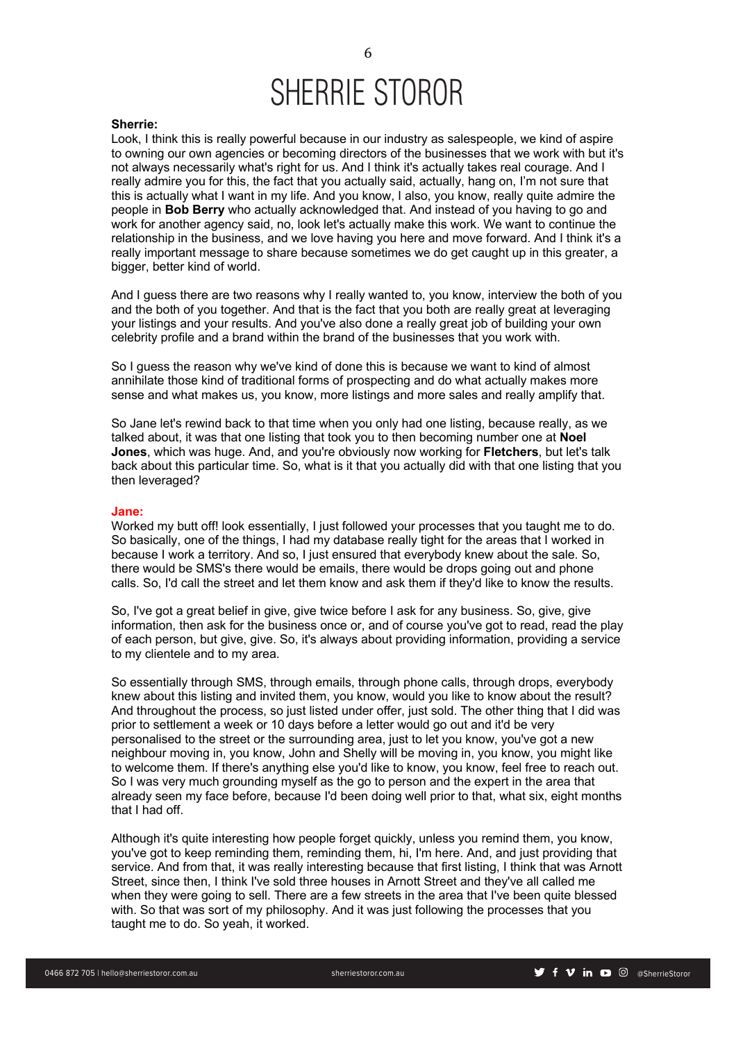#### **Sherrie:**

Look, I think this is really powerful because in our industry as salespeople, we kind of aspire to owning our own agencies or becoming directors of the businesses that we work with but it's not always necessarily what's right for us. And I think it's actually takes real courage. And I really admire you for this, the fact that you actually said, actually, hang on, I'm not sure that this is actually what I want in my life. And you know, I also, you know, really quite admire the people in **Bob Berry** who actually acknowledged that. And instead of you having to go and work for another agency said, no, look let's actually make this work. We want to continue the relationship in the business, and we love having you here and move forward. And I think it's a really important message to share because sometimes we do get caught up in this greater, a bigger, better kind of world.

And I guess there are two reasons why I really wanted to, you know, interview the both of you and the both of you together. And that is the fact that you both are really great at leveraging your listings and your results. And you've also done a really great job of building your own celebrity profile and a brand within the brand of the businesses that you work with.

So I guess the reason why we've kind of done this is because we want to kind of almost annihilate those kind of traditional forms of prospecting and do what actually makes more sense and what makes us, you know, more listings and more sales and really amplify that.

So Jane let's rewind back to that time when you only had one listing, because really, as we talked about, it was that one listing that took you to then becoming number one at **Noel Jones**, which was huge. And, and you're obviously now working for **Fletchers**, but let's talk back about this particular time. So, what is it that you actually did with that one listing that you then leveraged?

### **Jane:**

Worked my butt off! look essentially, I just followed your processes that you taught me to do. So basically, one of the things, I had my database really tight for the areas that I worked in because I work a territory. And so, I just ensured that everybody knew about the sale. So, there would be SMS's there would be emails, there would be drops going out and phone calls. So, I'd call the street and let them know and ask them if they'd like to know the results.

So, I've got a great belief in give, give twice before I ask for any business. So, give, give information, then ask for the business once or, and of course you've got to read, read the play of each person, but give, give. So, it's always about providing information, providing a service to my clientele and to my area.

So essentially through SMS, through emails, through phone calls, through drops, everybody knew about this listing and invited them, you know, would you like to know about the result? And throughout the process, so just listed under offer, just sold. The other thing that I did was prior to settlement a week or 10 days before a letter would go out and it'd be very personalised to the street or the surrounding area, just to let you know, you've got a new neighbour moving in, you know, John and Shelly will be moving in, you know, you might like to welcome them. If there's anything else you'd like to know, you know, feel free to reach out. So I was very much grounding myself as the go to person and the expert in the area that already seen my face before, because I'd been doing well prior to that, what six, eight months that I had off.

Although it's quite interesting how people forget quickly, unless you remind them, you know, you've got to keep reminding them, reminding them, hi, I'm here. And, and just providing that service. And from that, it was really interesting because that first listing, I think that was Arnott Street, since then, I think I've sold three houses in Arnott Street and they've all called me when they were going to sell. There are a few streets in the area that I've been quite blessed with. So that was sort of my philosophy. And it was just following the processes that you taught me to do. So yeah, it worked.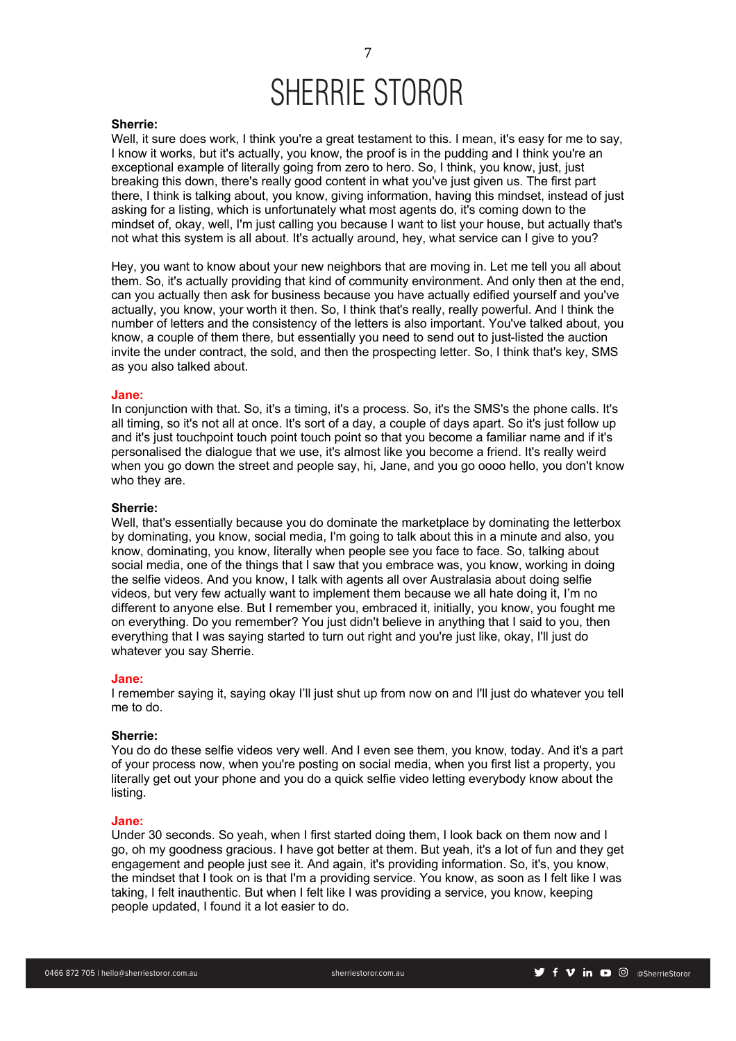#### **Sherrie:**

Well, it sure does work, I think you're a great testament to this. I mean, it's easy for me to say, I know it works, but it's actually, you know, the proof is in the pudding and I think you're an exceptional example of literally going from zero to hero. So, I think, you know, just, just breaking this down, there's really good content in what you've just given us. The first part there, I think is talking about, you know, giving information, having this mindset, instead of just asking for a listing, which is unfortunately what most agents do, it's coming down to the mindset of, okay, well, I'm just calling you because I want to list your house, but actually that's not what this system is all about. It's actually around, hey, what service can I give to you?

Hey, you want to know about your new neighbors that are moving in. Let me tell you all about them. So, it's actually providing that kind of community environment. And only then at the end, can you actually then ask for business because you have actually edified yourself and you've actually, you know, your worth it then. So, I think that's really, really powerful. And I think the number of letters and the consistency of the letters is also important. You've talked about, you know, a couple of them there, but essentially you need to send out to just-listed the auction invite the under contract, the sold, and then the prospecting letter. So, I think that's key, SMS as you also talked about.

#### **Jane:**

In conjunction with that. So, it's a timing, it's a process. So, it's the SMS's the phone calls. It's all timing, so it's not all at once. It's sort of a day, a couple of days apart. So it's just follow up and it's just touchpoint touch point touch point so that you become a familiar name and if it's personalised the dialogue that we use, it's almost like you become a friend. It's really weird when you go down the street and people say, hi, Jane, and you go oooo hello, you don't know who they are.

## **Sherrie:**

Well, that's essentially because you do dominate the marketplace by dominating the letterbox by dominating, you know, social media, I'm going to talk about this in a minute and also, you know, dominating, you know, literally when people see you face to face. So, talking about social media, one of the things that I saw that you embrace was, you know, working in doing the selfie videos. And you know, I talk with agents all over Australasia about doing selfie videos, but very few actually want to implement them because we all hate doing it, I'm no different to anyone else. But I remember you, embraced it, initially, you know, you fought me on everything. Do you remember? You just didn't believe in anything that I said to you, then everything that I was saying started to turn out right and you're just like, okay, I'll just do whatever you say Sherrie.

#### **Jane:**

I remember saying it, saying okay I'll just shut up from now on and I'll just do whatever you tell me to do.

## **Sherrie:**

You do do these selfie videos very well. And I even see them, you know, today. And it's a part of your process now, when you're posting on social media, when you first list a property, you literally get out your phone and you do a quick selfie video letting everybody know about the listing.

#### **Jane:**

Under 30 seconds. So yeah, when I first started doing them, I look back on them now and I go, oh my goodness gracious. I have got better at them. But yeah, it's a lot of fun and they get engagement and people just see it. And again, it's providing information. So, it's, you know, the mindset that I took on is that I'm a providing service. You know, as soon as I felt like I was taking, I felt inauthentic. But when I felt like I was providing a service, you know, keeping people updated, I found it a lot easier to do.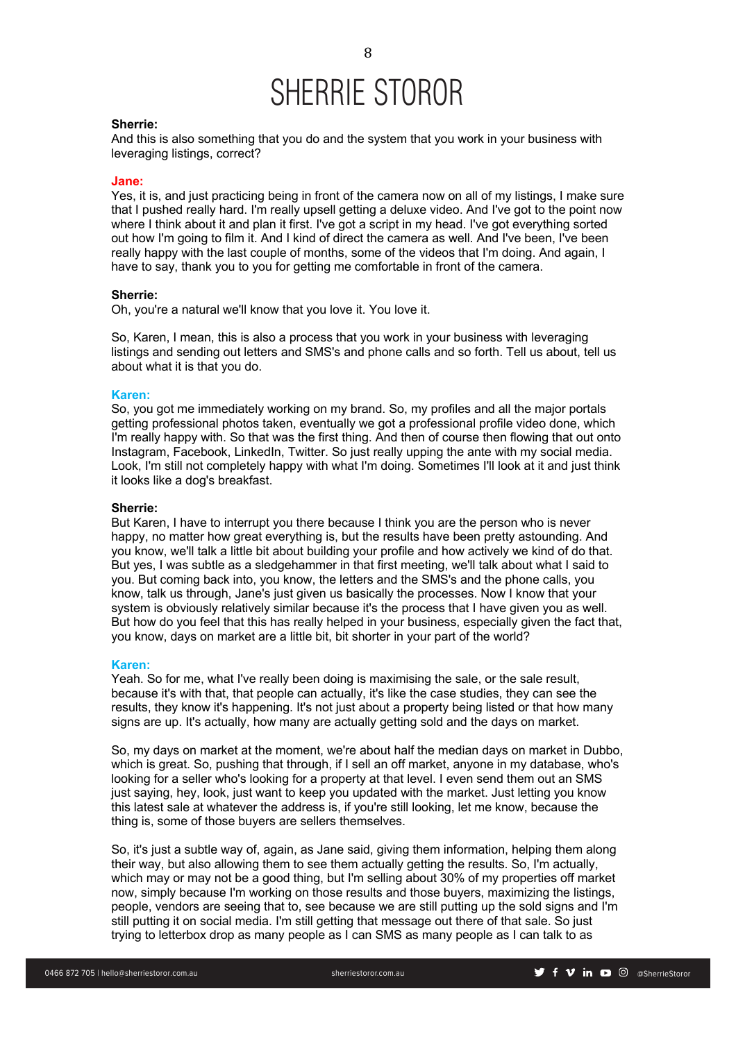#### **Sherrie:**

And this is also something that you do and the system that you work in your business with leveraging listings, correct?

### **Jane:**

Yes, it is, and just practicing being in front of the camera now on all of my listings, I make sure that I pushed really hard. I'm really upsell getting a deluxe video. And I've got to the point now where I think about it and plan it first. I've got a script in my head. I've got everything sorted out how I'm going to film it. And I kind of direct the camera as well. And I've been, I've been really happy with the last couple of months, some of the videos that I'm doing. And again, I have to say, thank you to you for getting me comfortable in front of the camera.

## **Sherrie:**

Oh, you're a natural we'll know that you love it. You love it.

So, Karen, I mean, this is also a process that you work in your business with leveraging listings and sending out letters and SMS's and phone calls and so forth. Tell us about, tell us about what it is that you do.

#### **Karen:**

So, you got me immediately working on my brand. So, my profiles and all the major portals getting professional photos taken, eventually we got a professional profile video done, which I'm really happy with. So that was the first thing. And then of course then flowing that out onto Instagram, Facebook, LinkedIn, Twitter. So just really upping the ante with my social media. Look, I'm still not completely happy with what I'm doing. Sometimes I'll look at it and just think it looks like a dog's breakfast.

## **Sherrie:**

But Karen, I have to interrupt you there because I think you are the person who is never happy, no matter how great everything is, but the results have been pretty astounding. And you know, we'll talk a little bit about building your profile and how actively we kind of do that. But yes, I was subtle as a sledgehammer in that first meeting, we'll talk about what I said to you. But coming back into, you know, the letters and the SMS's and the phone calls, you know, talk us through, Jane's just given us basically the processes. Now I know that your system is obviously relatively similar because it's the process that I have given you as well. But how do you feel that this has really helped in your business, especially given the fact that, you know, days on market are a little bit, bit shorter in your part of the world?

#### **Karen:**

Yeah. So for me, what I've really been doing is maximising the sale, or the sale result, because it's with that, that people can actually, it's like the case studies, they can see the results, they know it's happening. It's not just about a property being listed or that how many signs are up. It's actually, how many are actually getting sold and the days on market.

So, my days on market at the moment, we're about half the median days on market in Dubbo, which is great. So, pushing that through, if I sell an off market, anyone in my database, who's looking for a seller who's looking for a property at that level. I even send them out an SMS just saying, hey, look, just want to keep you updated with the market. Just letting you know this latest sale at whatever the address is, if you're still looking, let me know, because the thing is, some of those buyers are sellers themselves.

So, it's just a subtle way of, again, as Jane said, giving them information, helping them along their way, but also allowing them to see them actually getting the results. So, I'm actually, which may or may not be a good thing, but I'm selling about 30% of my properties off market now, simply because I'm working on those results and those buyers, maximizing the listings, people, vendors are seeing that to, see because we are still putting up the sold signs and I'm still putting it on social media. I'm still getting that message out there of that sale. So just trying to letterbox drop as many people as I can SMS as many people as I can talk to as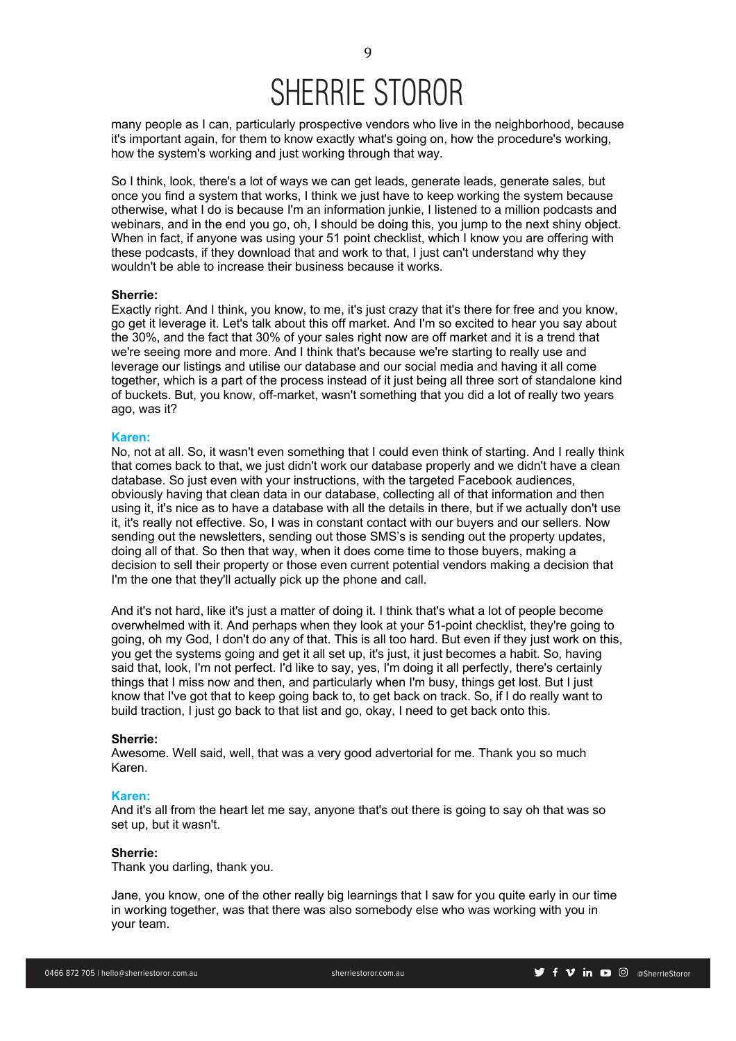many people as I can, particularly prospective vendors who live in the neighborhood, because it's important again, for them to know exactly what's going on, how the procedure's working, how the system's working and just working through that way.

So I think, look, there's a lot of ways we can get leads, generate leads, generate sales, but once you find a system that works, I think we just have to keep working the system because otherwise, what I do is because I'm an information junkie, I listened to a million podcasts and webinars, and in the end you go, oh, I should be doing this, you jump to the next shiny object. When in fact, if anyone was using your 51 point checklist, which I know you are offering with these podcasts, if they download that and work to that, I just can't understand why they wouldn't be able to increase their business because it works.

## **Sherrie:**

Exactly right. And I think, you know, to me, it's just crazy that it's there for free and you know, go get it leverage it. Let's talk about this off market. And I'm so excited to hear you say about the 30%, and the fact that 30% of your sales right now are off market and it is a trend that we're seeing more and more. And I think that's because we're starting to really use and leverage our listings and utilise our database and our social media and having it all come together, which is a part of the process instead of it just being all three sort of standalone kind of buckets. But, you know, off-market, wasn't something that you did a lot of really two years ago, was it?

#### **Karen:**

No, not at all. So, it wasn't even something that I could even think of starting. And I really think that comes back to that, we just didn't work our database properly and we didn't have a clean database. So just even with your instructions, with the targeted Facebook audiences, obviously having that clean data in our database, collecting all of that information and then using it, it's nice as to have a database with all the details in there, but if we actually don't use it, it's really not effective. So, I was in constant contact with our buyers and our sellers. Now sending out the newsletters, sending out those SMS's is sending out the property updates, doing all of that. So then that way, when it does come time to those buyers, making a decision to sell their property or those even current potential vendors making a decision that I'm the one that they'll actually pick up the phone and call.

And it's not hard, like it's just a matter of doing it. I think that's what a lot of people become overwhelmed with it. And perhaps when they look at your 51-point checklist, they're going to going, oh my God, I don't do any of that. This is all too hard. But even if they just work on this, you get the systems going and get it all set up, it's just, it just becomes a habit. So, having said that, look, I'm not perfect. I'd like to say, yes, I'm doing it all perfectly, there's certainly things that I miss now and then, and particularly when I'm busy, things get lost. But I just know that I've got that to keep going back to, to get back on track. So, if I do really want to build traction, I just go back to that list and go, okay, I need to get back onto this.

## **Sherrie:**

Awesome. Well said, well, that was a very good advertorial for me. Thank you so much Karen.

#### **Karen:**

And it's all from the heart let me say, anyone that's out there is going to say oh that was so set up, but it wasn't.

#### **Sherrie:**

Thank you darling, thank you.

Jane, you know, one of the other really big learnings that I saw for you quite early in our time in working together, was that there was also somebody else who was working with you in your team.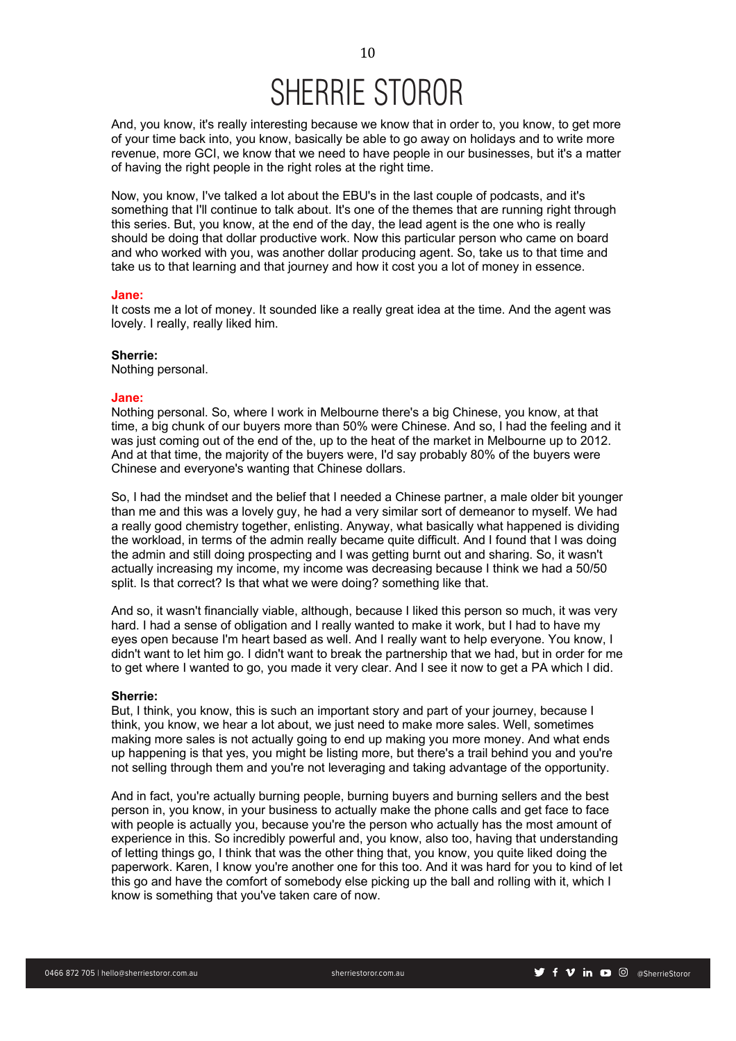And, you know, it's really interesting because we know that in order to, you know, to get more of your time back into, you know, basically be able to go away on holidays and to write more revenue, more GCI, we know that we need to have people in our businesses, but it's a matter of having the right people in the right roles at the right time.

Now, you know, I've talked a lot about the EBU's in the last couple of podcasts, and it's something that I'll continue to talk about. It's one of the themes that are running right through this series. But, you know, at the end of the day, the lead agent is the one who is really should be doing that dollar productive work. Now this particular person who came on board and who worked with you, was another dollar producing agent. So, take us to that time and take us to that learning and that journey and how it cost you a lot of money in essence.

#### **Jane:**

It costs me a lot of money. It sounded like a really great idea at the time. And the agent was lovely. I really, really liked him.

## **Sherrie:**

Nothing personal.

#### **Jane:**

Nothing personal. So, where I work in Melbourne there's a big Chinese, you know, at that time, a big chunk of our buyers more than 50% were Chinese. And so, I had the feeling and it was just coming out of the end of the, up to the heat of the market in Melbourne up to 2012. And at that time, the majority of the buyers were, I'd say probably 80% of the buyers were Chinese and everyone's wanting that Chinese dollars.

So, I had the mindset and the belief that I needed a Chinese partner, a male older bit younger than me and this was a lovely guy, he had a very similar sort of demeanor to myself. We had a really good chemistry together, enlisting. Anyway, what basically what happened is dividing the workload, in terms of the admin really became quite difficult. And I found that I was doing the admin and still doing prospecting and I was getting burnt out and sharing. So, it wasn't actually increasing my income, my income was decreasing because I think we had a 50/50 split. Is that correct? Is that what we were doing? something like that.

And so, it wasn't financially viable, although, because I liked this person so much, it was very hard. I had a sense of obligation and I really wanted to make it work, but I had to have my eyes open because I'm heart based as well. And I really want to help everyone. You know, I didn't want to let him go. I didn't want to break the partnership that we had, but in order for me to get where I wanted to go, you made it very clear. And I see it now to get a PA which I did.

#### **Sherrie:**

But, I think, you know, this is such an important story and part of your journey, because I think, you know, we hear a lot about, we just need to make more sales. Well, sometimes making more sales is not actually going to end up making you more money. And what ends up happening is that yes, you might be listing more, but there's a trail behind you and you're not selling through them and you're not leveraging and taking advantage of the opportunity.

And in fact, you're actually burning people, burning buyers and burning sellers and the best person in, you know, in your business to actually make the phone calls and get face to face with people is actually you, because you're the person who actually has the most amount of experience in this. So incredibly powerful and, you know, also too, having that understanding of letting things go, I think that was the other thing that, you know, you quite liked doing the paperwork. Karen, I know you're another one for this too. And it was hard for you to kind of let this go and have the comfort of somebody else picking up the ball and rolling with it, which I know is something that you've taken care of now.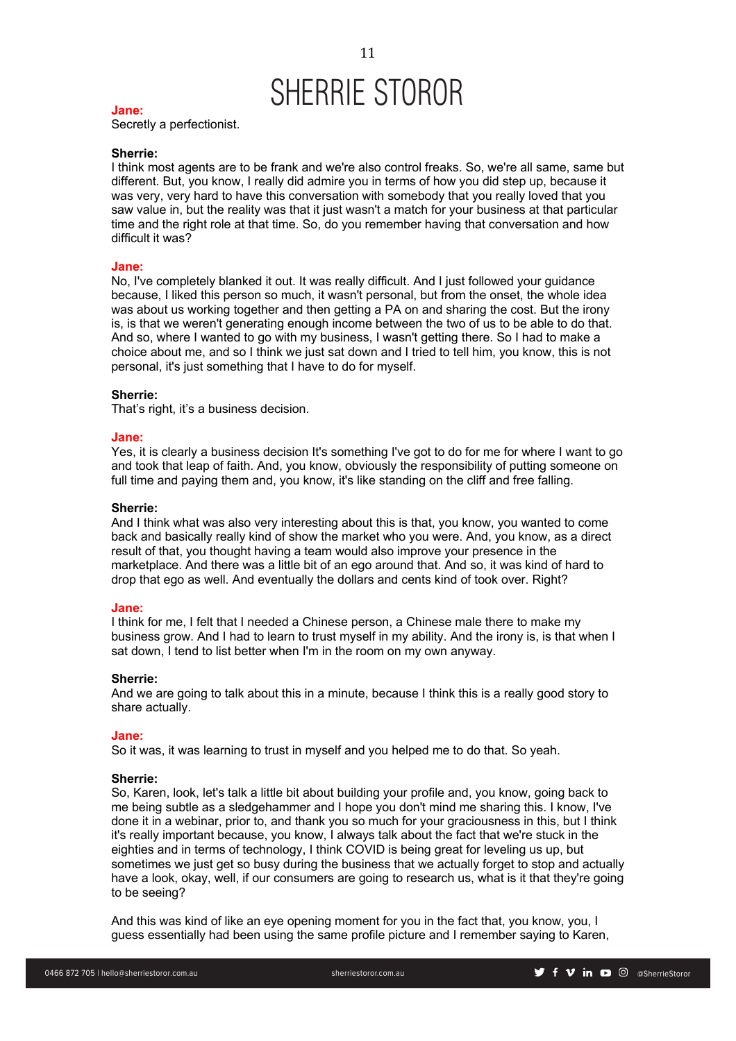#### **Jane:**

Secretly a perfectionist.

## **Sherrie:**

I think most agents are to be frank and we're also control freaks. So, we're all same, same but different. But, you know, I really did admire you in terms of how you did step up, because it was very, very hard to have this conversation with somebody that you really loved that you saw value in, but the reality was that it just wasn't a match for your business at that particular time and the right role at that time. So, do you remember having that conversation and how difficult it was?

### **Jane:**

No, I've completely blanked it out. It was really difficult. And I just followed your guidance because, I liked this person so much, it wasn't personal, but from the onset, the whole idea was about us working together and then getting a PA on and sharing the cost. But the irony is, is that we weren't generating enough income between the two of us to be able to do that. And so, where I wanted to go with my business, I wasn't getting there. So I had to make a choice about me, and so I think we just sat down and I tried to tell him, you know, this is not personal, it's just something that I have to do for myself.

#### **Sherrie:**

That's right, it's a business decision.

#### **Jane:**

Yes, it is clearly a business decision It's something I've got to do for me for where I want to go and took that leap of faith. And, you know, obviously the responsibility of putting someone on full time and paying them and, you know, it's like standing on the cliff and free falling.

## **Sherrie:**

And I think what was also very interesting about this is that, you know, you wanted to come back and basically really kind of show the market who you were. And, you know, as a direct result of that, you thought having a team would also improve your presence in the marketplace. And there was a little bit of an ego around that. And so, it was kind of hard to drop that ego as well. And eventually the dollars and cents kind of took over. Right?

#### **Jane:**

I think for me, I felt that I needed a Chinese person, a Chinese male there to make my business grow. And I had to learn to trust myself in my ability. And the irony is, is that when I sat down, I tend to list better when I'm in the room on my own anyway.

#### **Sherrie:**

And we are going to talk about this in a minute, because I think this is a really good story to share actually.

## **Jane:**

So it was, it was learning to trust in myself and you helped me to do that. So yeah.

## **Sherrie:**

So, Karen, look, let's talk a little bit about building your profile and, you know, going back to me being subtle as a sledgehammer and I hope you don't mind me sharing this. I know, I've done it in a webinar, prior to, and thank you so much for your graciousness in this, but I think it's really important because, you know, I always talk about the fact that we're stuck in the eighties and in terms of technology, I think COVID is being great for leveling us up, but sometimes we just get so busy during the business that we actually forget to stop and actually have a look, okay, well, if our consumers are going to research us, what is it that they're going to be seeing?

And this was kind of like an eye opening moment for you in the fact that, you know, you, I guess essentially had been using the same profile picture and I remember saying to Karen,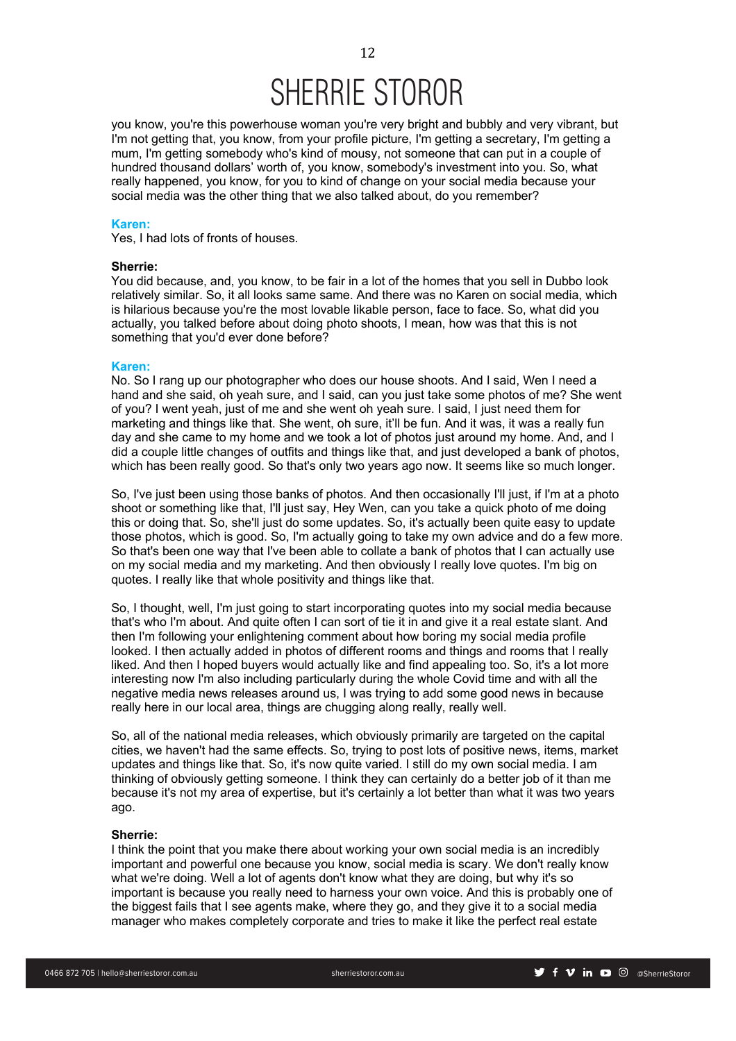you know, you're this powerhouse woman you're very bright and bubbly and very vibrant, but I'm not getting that, you know, from your profile picture, I'm getting a secretary, I'm getting a mum, I'm getting somebody who's kind of mousy, not someone that can put in a couple of hundred thousand dollars' worth of, you know, somebody's investment into you. So, what really happened, you know, for you to kind of change on your social media because your social media was the other thing that we also talked about, do you remember?

## **Karen:**

Yes, I had lots of fronts of houses.

### **Sherrie:**

You did because, and, you know, to be fair in a lot of the homes that you sell in Dubbo look relatively similar. So, it all looks same same. And there was no Karen on social media, which is hilarious because you're the most lovable likable person, face to face. So, what did you actually, you talked before about doing photo shoots, I mean, how was that this is not something that you'd ever done before?

#### **Karen:**

No. So I rang up our photographer who does our house shoots. And I said, Wen I need a hand and she said, oh yeah sure, and I said, can you just take some photos of me? She went of you? I went yeah, just of me and she went oh yeah sure. I said, I just need them for marketing and things like that. She went, oh sure, it'll be fun. And it was, it was a really fun day and she came to my home and we took a lot of photos just around my home. And, and I did a couple little changes of outfits and things like that, and just developed a bank of photos, which has been really good. So that's only two years ago now. It seems like so much longer.

So, I've just been using those banks of photos. And then occasionally I'll just, if I'm at a photo shoot or something like that, I'll just say, Hey Wen, can you take a quick photo of me doing this or doing that. So, she'll just do some updates. So, it's actually been quite easy to update those photos, which is good. So, I'm actually going to take my own advice and do a few more. So that's been one way that I've been able to collate a bank of photos that I can actually use on my social media and my marketing. And then obviously I really love quotes. I'm big on quotes. I really like that whole positivity and things like that.

So, I thought, well, I'm just going to start incorporating quotes into my social media because that's who I'm about. And quite often I can sort of tie it in and give it a real estate slant. And then I'm following your enlightening comment about how boring my social media profile looked. I then actually added in photos of different rooms and things and rooms that I really liked. And then I hoped buyers would actually like and find appealing too. So, it's a lot more interesting now I'm also including particularly during the whole Covid time and with all the negative media news releases around us, I was trying to add some good news in because really here in our local area, things are chugging along really, really well.

So, all of the national media releases, which obviously primarily are targeted on the capital cities, we haven't had the same effects. So, trying to post lots of positive news, items, market updates and things like that. So, it's now quite varied. I still do my own social media. I am thinking of obviously getting someone. I think they can certainly do a better job of it than me because it's not my area of expertise, but it's certainly a lot better than what it was two years ago.

#### **Sherrie:**

I think the point that you make there about working your own social media is an incredibly important and powerful one because you know, social media is scary. We don't really know what we're doing. Well a lot of agents don't know what they are doing, but why it's so important is because you really need to harness your own voice. And this is probably one of the biggest fails that I see agents make, where they go, and they give it to a social media manager who makes completely corporate and tries to make it like the perfect real estate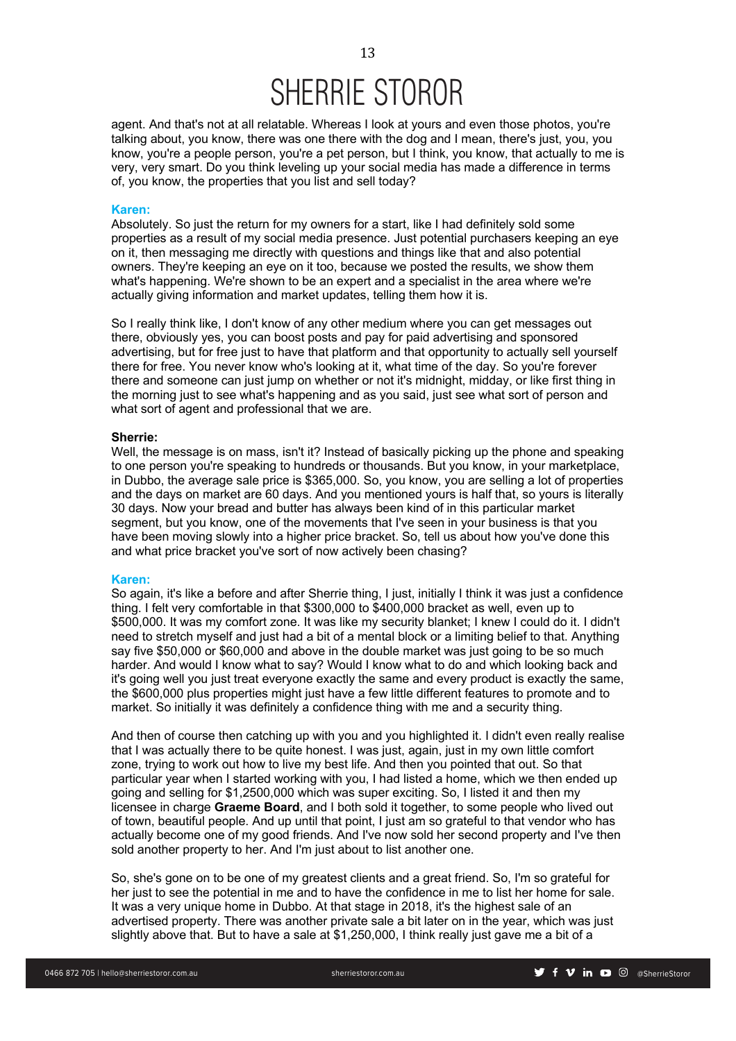agent. And that's not at all relatable. Whereas I look at yours and even those photos, you're talking about, you know, there was one there with the dog and I mean, there's just, you, you know, you're a people person, you're a pet person, but I think, you know, that actually to me is very, very smart. Do you think leveling up your social media has made a difference in terms of, you know, the properties that you list and sell today?

### **Karen:**

Absolutely. So just the return for my owners for a start, like I had definitely sold some properties as a result of my social media presence. Just potential purchasers keeping an eye on it, then messaging me directly with questions and things like that and also potential owners. They're keeping an eye on it too, because we posted the results, we show them what's happening. We're shown to be an expert and a specialist in the area where we're actually giving information and market updates, telling them how it is.

So I really think like, I don't know of any other medium where you can get messages out there, obviously yes, you can boost posts and pay for paid advertising and sponsored advertising, but for free just to have that platform and that opportunity to actually sell yourself there for free. You never know who's looking at it, what time of the day. So you're forever there and someone can just jump on whether or not it's midnight, midday, or like first thing in the morning just to see what's happening and as you said, just see what sort of person and what sort of agent and professional that we are.

## **Sherrie:**

Well, the message is on mass, isn't it? Instead of basically picking up the phone and speaking to one person you're speaking to hundreds or thousands. But you know, in your marketplace, in Dubbo, the average sale price is \$365,000. So, you know, you are selling a lot of properties and the days on market are 60 days. And you mentioned yours is half that, so yours is literally 30 days. Now your bread and butter has always been kind of in this particular market segment, but you know, one of the movements that I've seen in your business is that you have been moving slowly into a higher price bracket. So, tell us about how you've done this and what price bracket you've sort of now actively been chasing?

#### **Karen:**

So again, it's like a before and after Sherrie thing, I just, initially I think it was just a confidence thing. I felt very comfortable in that \$300,000 to \$400,000 bracket as well, even up to \$500,000. It was my comfort zone. It was like my security blanket; I knew I could do it. I didn't need to stretch myself and just had a bit of a mental block or a limiting belief to that. Anything say five \$50,000 or \$60,000 and above in the double market was just going to be so much harder. And would I know what to say? Would I know what to do and which looking back and it's going well you just treat everyone exactly the same and every product is exactly the same, the \$600,000 plus properties might just have a few little different features to promote and to market. So initially it was definitely a confidence thing with me and a security thing.

And then of course then catching up with you and you highlighted it. I didn't even really realise that I was actually there to be quite honest. I was just, again, just in my own little comfort zone, trying to work out how to live my best life. And then you pointed that out. So that particular year when I started working with you, I had listed a home, which we then ended up going and selling for \$1,2500,000 which was super exciting. So, I listed it and then my licensee in charge **Graeme Board**, and I both sold it together, to some people who lived out of town, beautiful people. And up until that point, I just am so grateful to that vendor who has actually become one of my good friends. And I've now sold her second property and I've then sold another property to her. And I'm just about to list another one.

So, she's gone on to be one of my greatest clients and a great friend. So, I'm so grateful for her just to see the potential in me and to have the confidence in me to list her home for sale. It was a very unique home in Dubbo. At that stage in 2018, it's the highest sale of an advertised property. There was another private sale a bit later on in the year, which was just slightly above that. But to have a sale at \$1,250,000, I think really just gave me a bit of a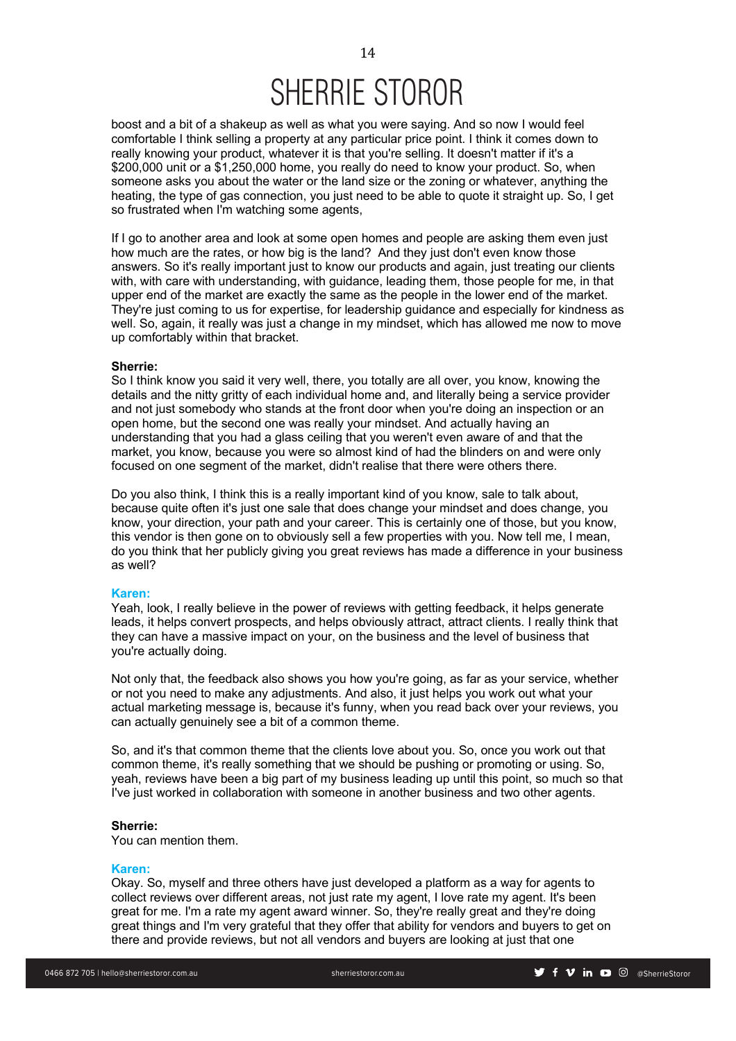boost and a bit of a shakeup as well as what you were saying. And so now I would feel comfortable I think selling a property at any particular price point. I think it comes down to really knowing your product, whatever it is that you're selling. It doesn't matter if it's a \$200,000 unit or a \$1,250,000 home, you really do need to know your product. So, when someone asks you about the water or the land size or the zoning or whatever, anything the heating, the type of gas connection, you just need to be able to quote it straight up. So, I get so frustrated when I'm watching some agents,

If I go to another area and look at some open homes and people are asking them even just how much are the rates, or how big is the land? And they just don't even know those answers. So it's really important just to know our products and again, just treating our clients with, with care with understanding, with quidance, leading them, those people for me, in that upper end of the market are exactly the same as the people in the lower end of the market. They're just coming to us for expertise, for leadership guidance and especially for kindness as well. So, again, it really was just a change in my mindset, which has allowed me now to move up comfortably within that bracket.

#### **Sherrie:**

So I think know you said it very well, there, you totally are all over, you know, knowing the details and the nitty gritty of each individual home and, and literally being a service provider and not just somebody who stands at the front door when you're doing an inspection or an open home, but the second one was really your mindset. And actually having an understanding that you had a glass ceiling that you weren't even aware of and that the market, you know, because you were so almost kind of had the blinders on and were only focused on one segment of the market, didn't realise that there were others there.

Do you also think, I think this is a really important kind of you know, sale to talk about, because quite often it's just one sale that does change your mindset and does change, you know, your direction, your path and your career. This is certainly one of those, but you know, this vendor is then gone on to obviously sell a few properties with you. Now tell me, I mean, do you think that her publicly giving you great reviews has made a difference in your business as well?

### **Karen:**

Yeah, look, I really believe in the power of reviews with getting feedback, it helps generate leads, it helps convert prospects, and helps obviously attract, attract clients. I really think that they can have a massive impact on your, on the business and the level of business that you're actually doing.

Not only that, the feedback also shows you how you're going, as far as your service, whether or not you need to make any adjustments. And also, it just helps you work out what your actual marketing message is, because it's funny, when you read back over your reviews, you can actually genuinely see a bit of a common theme.

So, and it's that common theme that the clients love about you. So, once you work out that common theme, it's really something that we should be pushing or promoting or using. So, yeah, reviews have been a big part of my business leading up until this point, so much so that I've just worked in collaboration with someone in another business and two other agents.

## **Sherrie:**

You can mention them.

#### **Karen:**

Okay. So, myself and three others have just developed a platform as a way for agents to collect reviews over different areas, not just rate my agent, I love rate my agent. It's been great for me. I'm a rate my agent award winner. So, they're really great and they're doing great things and I'm very grateful that they offer that ability for vendors and buyers to get on there and provide reviews, but not all vendors and buyers are looking at just that one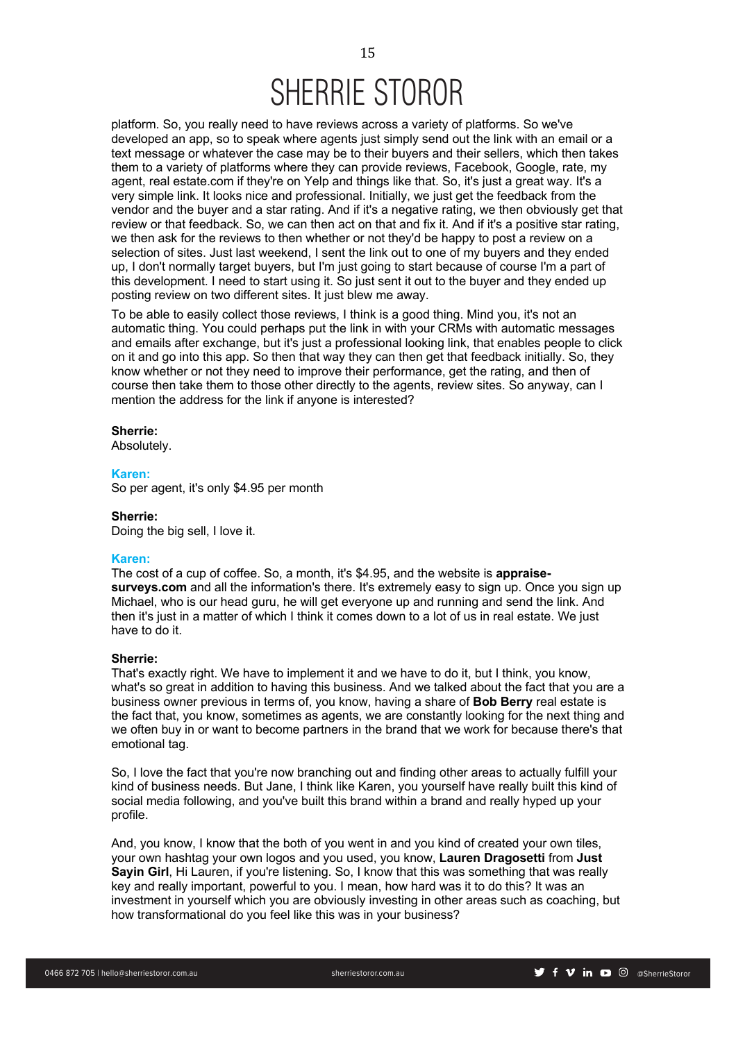platform. So, you really need to have reviews across a variety of platforms. So we've developed an app, so to speak where agents just simply send out the link with an email or a text message or whatever the case may be to their buyers and their sellers, which then takes them to a variety of platforms where they can provide reviews, Facebook, Google, rate, my agent, real estate.com if they're on Yelp and things like that. So, it's just a great way. It's a very simple link. It looks nice and professional. Initially, we just get the feedback from the vendor and the buyer and a star rating. And if it's a negative rating, we then obviously get that review or that feedback. So, we can then act on that and fix it. And if it's a positive star rating, we then ask for the reviews to then whether or not they'd be happy to post a review on a selection of sites. Just last weekend, I sent the link out to one of my buyers and they ended up, I don't normally target buyers, but I'm just going to start because of course I'm a part of this development. I need to start using it. So just sent it out to the buyer and they ended up posting review on two different sites. It just blew me away.

To be able to easily collect those reviews, I think is a good thing. Mind you, it's not an automatic thing. You could perhaps put the link in with your CRMs with automatic messages and emails after exchange, but it's just a professional looking link, that enables people to click on it and go into this app. So then that way they can then get that feedback initially. So, they know whether or not they need to improve their performance, get the rating, and then of course then take them to those other directly to the agents, review sites. So anyway, can I mention the address for the link if anyone is interested?

## **Sherrie:**

Absolutely.

#### **Karen:**

So per agent, it's only \$4.95 per month

#### **Sherrie:**

Doing the big sell, I love it.

## **Karen:**

The cost of a cup of coffee. So, a month, it's \$4.95, and the website is **appraisesurveys.com** and all the information's there. It's extremely easy to sign up. Once you sign up Michael, who is our head guru, he will get everyone up and running and send the link. And then it's just in a matter of which I think it comes down to a lot of us in real estate. We just have to do it.

## **Sherrie:**

That's exactly right. We have to implement it and we have to do it, but I think, you know, what's so great in addition to having this business. And we talked about the fact that you are a business owner previous in terms of, you know, having a share of **Bob Berry** real estate is the fact that, you know, sometimes as agents, we are constantly looking for the next thing and we often buy in or want to become partners in the brand that we work for because there's that emotional tag.

So, I love the fact that you're now branching out and finding other areas to actually fulfill your kind of business needs. But Jane, I think like Karen, you yourself have really built this kind of social media following, and you've built this brand within a brand and really hyped up your profile.

And, you know, I know that the both of you went in and you kind of created your own tiles, your own hashtag your own logos and you used, you know, **Lauren Dragosetti** from **Just Sayin Girl**, Hi Lauren, if you're listening. So, I know that this was something that was really key and really important, powerful to you. I mean, how hard was it to do this? It was an investment in yourself which you are obviously investing in other areas such as coaching, but how transformational do you feel like this was in your business?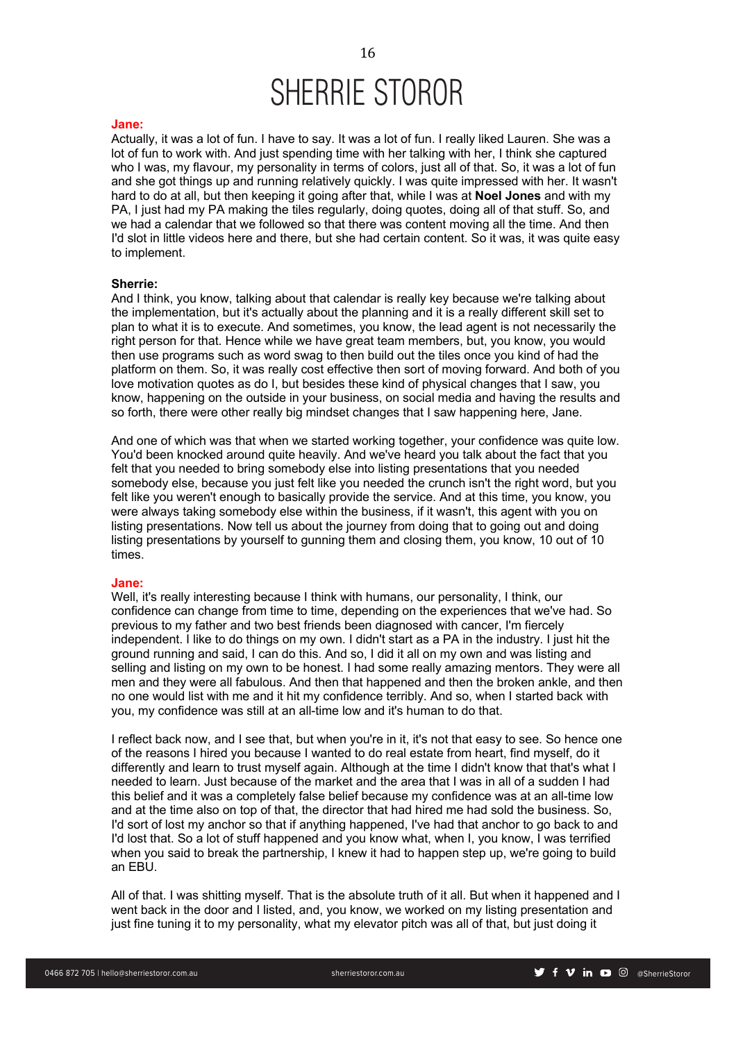#### **Jane:**

Actually, it was a lot of fun. I have to say. It was a lot of fun. I really liked Lauren. She was a lot of fun to work with. And just spending time with her talking with her, I think she captured who I was, my flavour, my personality in terms of colors, just all of that. So, it was a lot of fun and she got things up and running relatively quickly. I was quite impressed with her. It wasn't hard to do at all, but then keeping it going after that, while I was at **Noel Jones** and with my PA, I just had my PA making the tiles regularly, doing quotes, doing all of that stuff. So, and we had a calendar that we followed so that there was content moving all the time. And then I'd slot in little videos here and there, but she had certain content. So it was, it was quite easy to implement.

## **Sherrie:**

And I think, you know, talking about that calendar is really key because we're talking about the implementation, but it's actually about the planning and it is a really different skill set to plan to what it is to execute. And sometimes, you know, the lead agent is not necessarily the right person for that. Hence while we have great team members, but, you know, you would then use programs such as word swag to then build out the tiles once you kind of had the platform on them. So, it was really cost effective then sort of moving forward. And both of you love motivation quotes as do I, but besides these kind of physical changes that I saw, you know, happening on the outside in your business, on social media and having the results and so forth, there were other really big mindset changes that I saw happening here, Jane.

And one of which was that when we started working together, your confidence was quite low. You'd been knocked around quite heavily. And we've heard you talk about the fact that you felt that you needed to bring somebody else into listing presentations that you needed somebody else, because you just felt like you needed the crunch isn't the right word, but you felt like you weren't enough to basically provide the service. And at this time, you know, you were always taking somebody else within the business, if it wasn't, this agent with you on listing presentations. Now tell us about the journey from doing that to going out and doing listing presentations by yourself to gunning them and closing them, you know, 10 out of 10 times.

#### **Jane:**

Well, it's really interesting because I think with humans, our personality, I think, our confidence can change from time to time, depending on the experiences that we've had. So previous to my father and two best friends been diagnosed with cancer, I'm fiercely independent. I like to do things on my own. I didn't start as a PA in the industry. I just hit the ground running and said, I can do this. And so, I did it all on my own and was listing and selling and listing on my own to be honest. I had some really amazing mentors. They were all men and they were all fabulous. And then that happened and then the broken ankle, and then no one would list with me and it hit my confidence terribly. And so, when I started back with you, my confidence was still at an all-time low and it's human to do that.

I reflect back now, and I see that, but when you're in it, it's not that easy to see. So hence one of the reasons I hired you because I wanted to do real estate from heart, find myself, do it differently and learn to trust myself again. Although at the time I didn't know that that's what I needed to learn. Just because of the market and the area that I was in all of a sudden I had this belief and it was a completely false belief because my confidence was at an all-time low and at the time also on top of that, the director that had hired me had sold the business. So, I'd sort of lost my anchor so that if anything happened, I've had that anchor to go back to and I'd lost that. So a lot of stuff happened and you know what, when I, you know, I was terrified when you said to break the partnership, I knew it had to happen step up, we're going to build an EBU.

All of that. I was shitting myself. That is the absolute truth of it all. But when it happened and I went back in the door and I listed, and, you know, we worked on my listing presentation and just fine tuning it to my personality, what my elevator pitch was all of that, but just doing it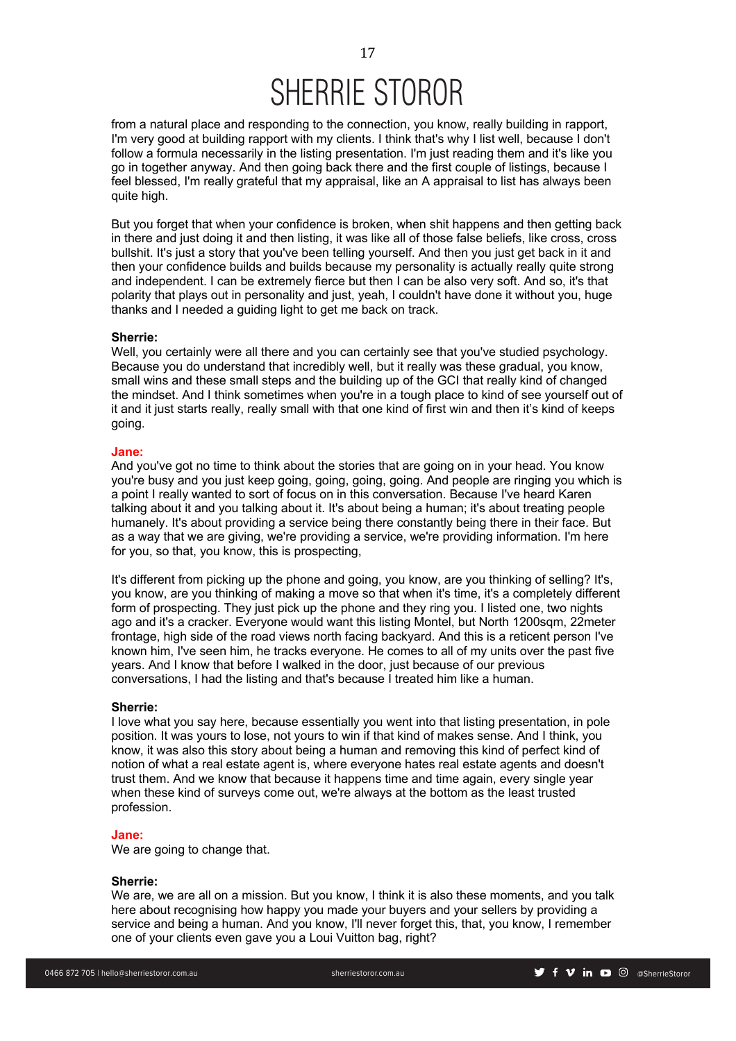from a natural place and responding to the connection, you know, really building in rapport, I'm very good at building rapport with my clients. I think that's why I list well, because I don't follow a formula necessarily in the listing presentation. I'm just reading them and it's like you go in together anyway. And then going back there and the first couple of listings, because I feel blessed, I'm really grateful that my appraisal, like an A appraisal to list has always been quite high.

But you forget that when your confidence is broken, when shit happens and then getting back in there and just doing it and then listing, it was like all of those false beliefs, like cross, cross bullshit. It's just a story that you've been telling yourself. And then you just get back in it and then your confidence builds and builds because my personality is actually really quite strong and independent. I can be extremely fierce but then I can be also very soft. And so, it's that polarity that plays out in personality and just, yeah, I couldn't have done it without you, huge thanks and I needed a guiding light to get me back on track.

## **Sherrie:**

Well, you certainly were all there and you can certainly see that you've studied psychology. Because you do understand that incredibly well, but it really was these gradual, you know, small wins and these small steps and the building up of the GCI that really kind of changed the mindset. And I think sometimes when you're in a tough place to kind of see yourself out of it and it just starts really, really small with that one kind of first win and then it's kind of keeps going.

## **Jane:**

And you've got no time to think about the stories that are going on in your head. You know you're busy and you just keep going, going, going, going. And people are ringing you which is a point I really wanted to sort of focus on in this conversation. Because I've heard Karen talking about it and you talking about it. It's about being a human; it's about treating people humanely. It's about providing a service being there constantly being there in their face. But as a way that we are giving, we're providing a service, we're providing information. I'm here for you, so that, you know, this is prospecting,

It's different from picking up the phone and going, you know, are you thinking of selling? It's, you know, are you thinking of making a move so that when it's time, it's a completely different form of prospecting. They just pick up the phone and they ring you. I listed one, two nights ago and it's a cracker. Everyone would want this listing Montel, but North 1200sqm, 22meter frontage, high side of the road views north facing backyard. And this is a reticent person I've known him, I've seen him, he tracks everyone. He comes to all of my units over the past five years. And I know that before I walked in the door, just because of our previous conversations, I had the listing and that's because I treated him like a human.

#### **Sherrie:**

I love what you say here, because essentially you went into that listing presentation, in pole position. It was yours to lose, not yours to win if that kind of makes sense. And I think, you know, it was also this story about being a human and removing this kind of perfect kind of notion of what a real estate agent is, where everyone hates real estate agents and doesn't trust them. And we know that because it happens time and time again, every single year when these kind of surveys come out, we're always at the bottom as the least trusted profession.

#### **Jane:**

We are going to change that.

#### **Sherrie:**

We are, we are all on a mission. But you know, I think it is also these moments, and you talk here about recognising how happy you made your buyers and your sellers by providing a service and being a human. And you know, I'll never forget this, that, you know, I remember one of your clients even gave you a Loui Vuitton bag, right?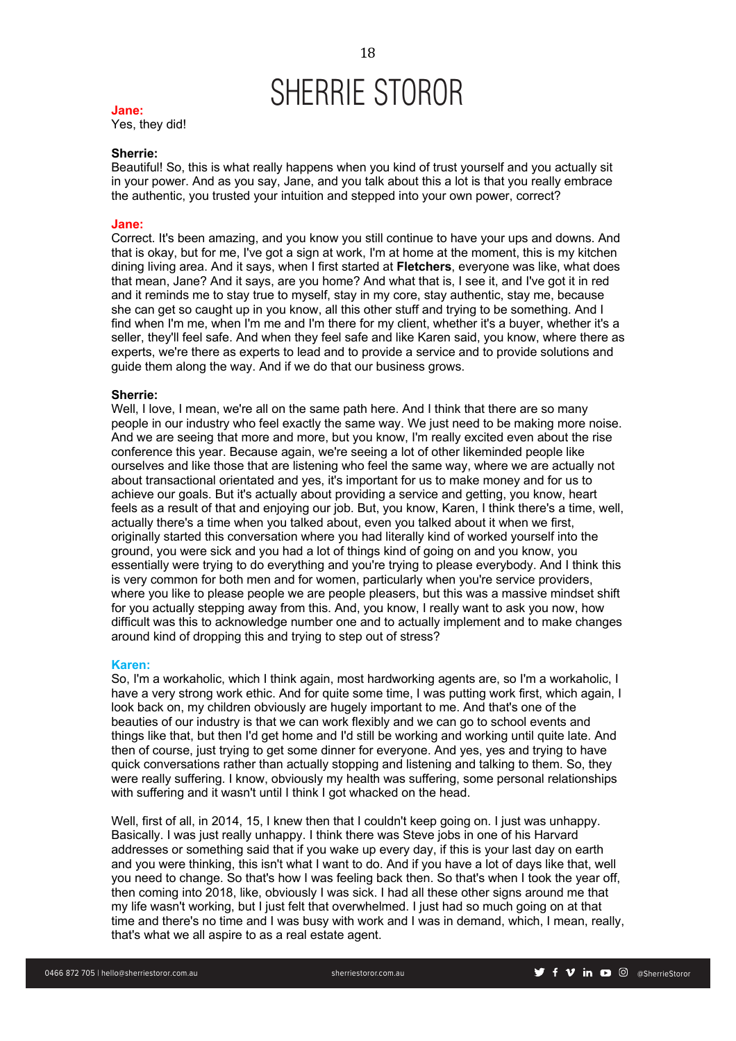#### **Jane:**

Yes, they did!

## **Sherrie:**

Beautiful! So, this is what really happens when you kind of trust yourself and you actually sit in your power. And as you say, Jane, and you talk about this a lot is that you really embrace the authentic, you trusted your intuition and stepped into your own power, correct?

#### **Jane:**

Correct. It's been amazing, and you know you still continue to have your ups and downs. And that is okay, but for me, I've got a sign at work, I'm at home at the moment, this is my kitchen dining living area. And it says, when I first started at **Fletchers**, everyone was like, what does that mean, Jane? And it says, are you home? And what that is, I see it, and I've got it in red and it reminds me to stay true to myself, stay in my core, stay authentic, stay me, because she can get so caught up in you know, all this other stuff and trying to be something. And I find when I'm me, when I'm me and I'm there for my client, whether it's a buyer, whether it's a seller, they'll feel safe. And when they feel safe and like Karen said, you know, where there as experts, we're there as experts to lead and to provide a service and to provide solutions and guide them along the way. And if we do that our business grows.

#### **Sherrie:**

Well, I love, I mean, we're all on the same path here. And I think that there are so many people in our industry who feel exactly the same way. We just need to be making more noise. And we are seeing that more and more, but you know, I'm really excited even about the rise conference this year. Because again, we're seeing a lot of other likeminded people like ourselves and like those that are listening who feel the same way, where we are actually not about transactional orientated and yes, it's important for us to make money and for us to achieve our goals. But it's actually about providing a service and getting, you know, heart feels as a result of that and enjoying our job. But, you know, Karen, I think there's a time, well, actually there's a time when you talked about, even you talked about it when we first, originally started this conversation where you had literally kind of worked yourself into the ground, you were sick and you had a lot of things kind of going on and you know, you essentially were trying to do everything and you're trying to please everybody. And I think this is very common for both men and for women, particularly when you're service providers, where you like to please people we are people pleasers, but this was a massive mindset shift for you actually stepping away from this. And, you know, I really want to ask you now, how difficult was this to acknowledge number one and to actually implement and to make changes around kind of dropping this and trying to step out of stress?

#### **Karen:**

So, I'm a workaholic, which I think again, most hardworking agents are, so I'm a workaholic, I have a very strong work ethic. And for quite some time, I was putting work first, which again, I look back on, my children obviously are hugely important to me. And that's one of the beauties of our industry is that we can work flexibly and we can go to school events and things like that, but then I'd get home and I'd still be working and working until quite late. And then of course, just trying to get some dinner for everyone. And yes, yes and trying to have quick conversations rather than actually stopping and listening and talking to them. So, they were really suffering. I know, obviously my health was suffering, some personal relationships with suffering and it wasn't until I think I got whacked on the head.

Well, first of all, in 2014, 15, I knew then that I couldn't keep going on. I just was unhappy. Basically. I was just really unhappy. I think there was Steve jobs in one of his Harvard addresses or something said that if you wake up every day, if this is your last day on earth and you were thinking, this isn't what I want to do. And if you have a lot of days like that, well you need to change. So that's how I was feeling back then. So that's when I took the year off, then coming into 2018, like, obviously I was sick. I had all these other signs around me that my life wasn't working, but I just felt that overwhelmed. I just had so much going on at that time and there's no time and I was busy with work and I was in demand, which, I mean, really, that's what we all aspire to as a real estate agent.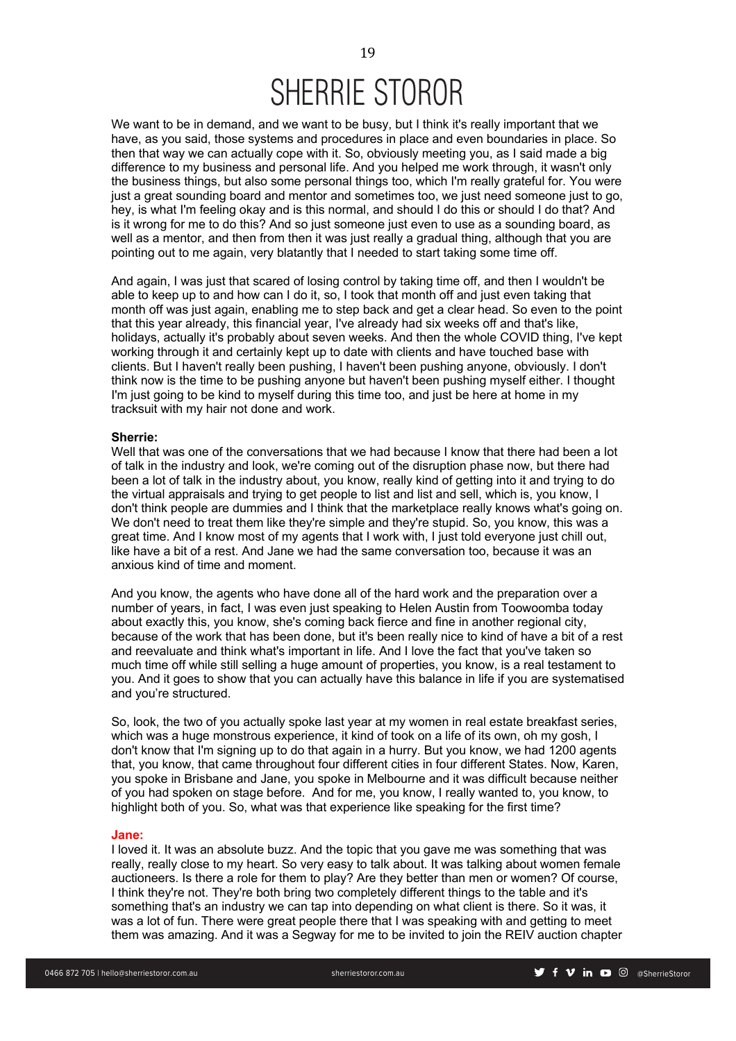We want to be in demand, and we want to be busy, but I think it's really important that we have, as you said, those systems and procedures in place and even boundaries in place. So then that way we can actually cope with it. So, obviously meeting you, as I said made a big difference to my business and personal life. And you helped me work through, it wasn't only the business things, but also some personal things too, which I'm really grateful for. You were just a great sounding board and mentor and sometimes too, we just need someone just to go, hey, is what I'm feeling okay and is this normal, and should I do this or should I do that? And is it wrong for me to do this? And so just someone just even to use as a sounding board, as well as a mentor, and then from then it was just really a gradual thing, although that you are pointing out to me again, very blatantly that I needed to start taking some time off.

And again, I was just that scared of losing control by taking time off, and then I wouldn't be able to keep up to and how can I do it, so, I took that month off and just even taking that month off was just again, enabling me to step back and get a clear head. So even to the point that this year already, this financial year, I've already had six weeks off and that's like, holidays, actually it's probably about seven weeks. And then the whole COVID thing, I've kept working through it and certainly kept up to date with clients and have touched base with clients. But I haven't really been pushing, I haven't been pushing anyone, obviously. I don't think now is the time to be pushing anyone but haven't been pushing myself either. I thought I'm just going to be kind to myself during this time too, and just be here at home in my tracksuit with my hair not done and work.

### **Sherrie:**

Well that was one of the conversations that we had because I know that there had been a lot of talk in the industry and look, we're coming out of the disruption phase now, but there had been a lot of talk in the industry about, you know, really kind of getting into it and trying to do the virtual appraisals and trying to get people to list and list and sell, which is, you know, I don't think people are dummies and I think that the marketplace really knows what's going on. We don't need to treat them like they're simple and they're stupid. So, you know, this was a great time. And I know most of my agents that I work with, I just told everyone just chill out, like have a bit of a rest. And Jane we had the same conversation too, because it was an anxious kind of time and moment.

And you know, the agents who have done all of the hard work and the preparation over a number of years, in fact, I was even just speaking to Helen Austin from Toowoomba today about exactly this, you know, she's coming back fierce and fine in another regional city, because of the work that has been done, but it's been really nice to kind of have a bit of a rest and reevaluate and think what's important in life. And I love the fact that you've taken so much time off while still selling a huge amount of properties, you know, is a real testament to you. And it goes to show that you can actually have this balance in life if you are systematised and you're structured.

So, look, the two of you actually spoke last year at my women in real estate breakfast series, which was a huge monstrous experience, it kind of took on a life of its own, oh my gosh, I don't know that I'm signing up to do that again in a hurry. But you know, we had 1200 agents that, you know, that came throughout four different cities in four different States. Now, Karen, you spoke in Brisbane and Jane, you spoke in Melbourne and it was difficult because neither of you had spoken on stage before. And for me, you know, I really wanted to, you know, to highlight both of you. So, what was that experience like speaking for the first time?

#### **Jane:**

I loved it. It was an absolute buzz. And the topic that you gave me was something that was really, really close to my heart. So very easy to talk about. It was talking about women female auctioneers. Is there a role for them to play? Are they better than men or women? Of course, I think they're not. They're both bring two completely different things to the table and it's something that's an industry we can tap into depending on what client is there. So it was, it was a lot of fun. There were great people there that I was speaking with and getting to meet them was amazing. And it was a Segway for me to be invited to join the REIV auction chapter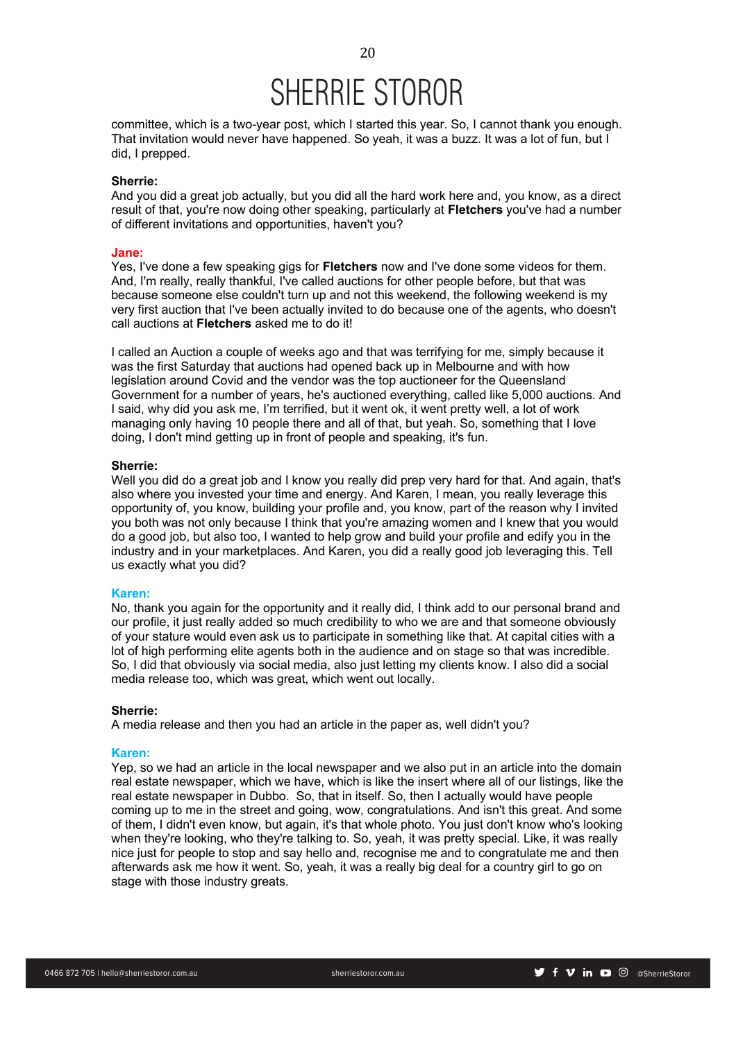committee, which is a two-year post, which I started this year. So, I cannot thank you enough. That invitation would never have happened. So yeah, it was a buzz. It was a lot of fun, but I did, I prepped.

## **Sherrie:**

And you did a great job actually, but you did all the hard work here and, you know, as a direct result of that, you're now doing other speaking, particularly at **Fletchers** you've had a number of different invitations and opportunities, haven't you?

#### **Jane:**

Yes, I've done a few speaking gigs for **Fletchers** now and I've done some videos for them. And, I'm really, really thankful, I've called auctions for other people before, but that was because someone else couldn't turn up and not this weekend, the following weekend is my very first auction that I've been actually invited to do because one of the agents, who doesn't call auctions at **Fletchers** asked me to do it!

I called an Auction a couple of weeks ago and that was terrifying for me, simply because it was the first Saturday that auctions had opened back up in Melbourne and with how legislation around Covid and the vendor was the top auctioneer for the Queensland Government for a number of years, he's auctioned everything, called like 5,000 auctions. And I said, why did you ask me, I'm terrified, but it went ok, it went pretty well, a lot of work managing only having 10 people there and all of that, but yeah. So, something that I love doing, I don't mind getting up in front of people and speaking, it's fun.

## **Sherrie:**

Well you did do a great job and I know you really did prep very hard for that. And again, that's also where you invested your time and energy. And Karen, I mean, you really leverage this opportunity of, you know, building your profile and, you know, part of the reason why I invited you both was not only because I think that you're amazing women and I knew that you would do a good job, but also too, I wanted to help grow and build your profile and edify you in the industry and in your marketplaces. And Karen, you did a really good job leveraging this. Tell us exactly what you did?

#### **Karen:**

No, thank you again for the opportunity and it really did, I think add to our personal brand and our profile, it just really added so much credibility to who we are and that someone obviously of your stature would even ask us to participate in something like that. At capital cities with a lot of high performing elite agents both in the audience and on stage so that was incredible. So, I did that obviously via social media, also just letting my clients know. I also did a social media release too, which was great, which went out locally.

## **Sherrie:**

A media release and then you had an article in the paper as, well didn't you?

#### **Karen:**

Yep, so we had an article in the local newspaper and we also put in an article into the domain real estate newspaper, which we have, which is like the insert where all of our listings, like the real estate newspaper in Dubbo. So, that in itself. So, then I actually would have people coming up to me in the street and going, wow, congratulations. And isn't this great. And some of them, I didn't even know, but again, it's that whole photo. You just don't know who's looking when they're looking, who they're talking to. So, yeah, it was pretty special. Like, it was really nice just for people to stop and say hello and, recognise me and to congratulate me and then afterwards ask me how it went. So, yeah, it was a really big deal for a country girl to go on stage with those industry greats.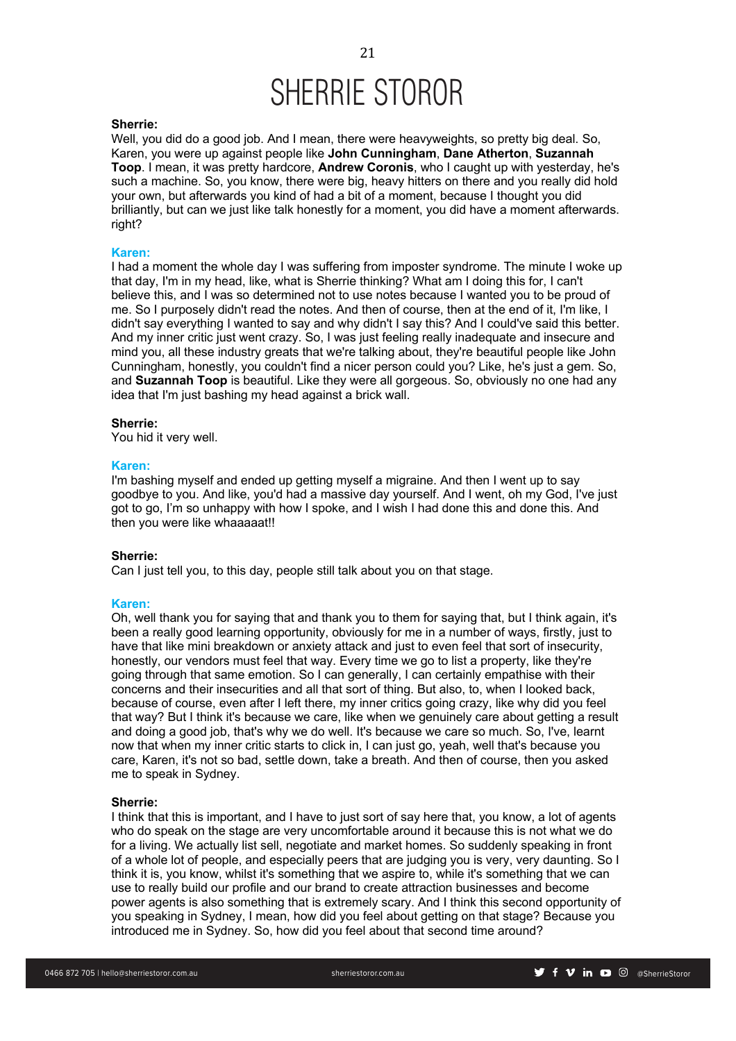### **Sherrie:**

Well, you did do a good job. And I mean, there were heavyweights, so pretty big deal. So, Karen, you were up against people like **John Cunningham**, **Dane Atherton**, **Suzannah Toop**. I mean, it was pretty hardcore, **Andrew Coronis**, who I caught up with yesterday, he's such a machine. So, you know, there were big, heavy hitters on there and you really did hold your own, but afterwards you kind of had a bit of a moment, because I thought you did brilliantly, but can we just like talk honestly for a moment, you did have a moment afterwards. right?

### **Karen:**

I had a moment the whole day I was suffering from imposter syndrome. The minute I woke up that day, I'm in my head, like, what is Sherrie thinking? What am I doing this for, I can't believe this, and I was so determined not to use notes because I wanted you to be proud of me. So I purposely didn't read the notes. And then of course, then at the end of it, I'm like, I didn't say everything I wanted to say and why didn't I say this? And I could've said this better. And my inner critic just went crazy. So, I was just feeling really inadequate and insecure and mind you, all these industry greats that we're talking about, they're beautiful people like John Cunningham, honestly, you couldn't find a nicer person could you? Like, he's just a gem. So, and **Suzannah Toop** is beautiful. Like they were all gorgeous. So, obviously no one had any idea that I'm just bashing my head against a brick wall.

#### **Sherrie:**

You hid it very well.

## **Karen:**

I'm bashing myself and ended up getting myself a migraine. And then I went up to say goodbye to you. And like, you'd had a massive day yourself. And I went, oh my God, I've just got to go, I'm so unhappy with how I spoke, and I wish I had done this and done this. And then you were like whaaaaat!!

### **Sherrie:**

Can I just tell you, to this day, people still talk about you on that stage.

#### **Karen:**

Oh, well thank you for saying that and thank you to them for saying that, but I think again, it's been a really good learning opportunity, obviously for me in a number of ways, firstly, just to have that like mini breakdown or anxiety attack and just to even feel that sort of insecurity, honestly, our vendors must feel that way. Every time we go to list a property, like they're going through that same emotion. So I can generally, I can certainly empathise with their concerns and their insecurities and all that sort of thing. But also, to, when I looked back, because of course, even after I left there, my inner critics going crazy, like why did you feel that way? But I think it's because we care, like when we genuinely care about getting a result and doing a good job, that's why we do well. It's because we care so much. So, I've, learnt now that when my inner critic starts to click in, I can just go, yeah, well that's because you care, Karen, it's not so bad, settle down, take a breath. And then of course, then you asked me to speak in Sydney.

## **Sherrie:**

I think that this is important, and I have to just sort of say here that, you know, a lot of agents who do speak on the stage are very uncomfortable around it because this is not what we do for a living. We actually list sell, negotiate and market homes. So suddenly speaking in front of a whole lot of people, and especially peers that are judging you is very, very daunting. So I think it is, you know, whilst it's something that we aspire to, while it's something that we can use to really build our profile and our brand to create attraction businesses and become power agents is also something that is extremely scary. And I think this second opportunity of you speaking in Sydney, I mean, how did you feel about getting on that stage? Because you introduced me in Sydney. So, how did you feel about that second time around?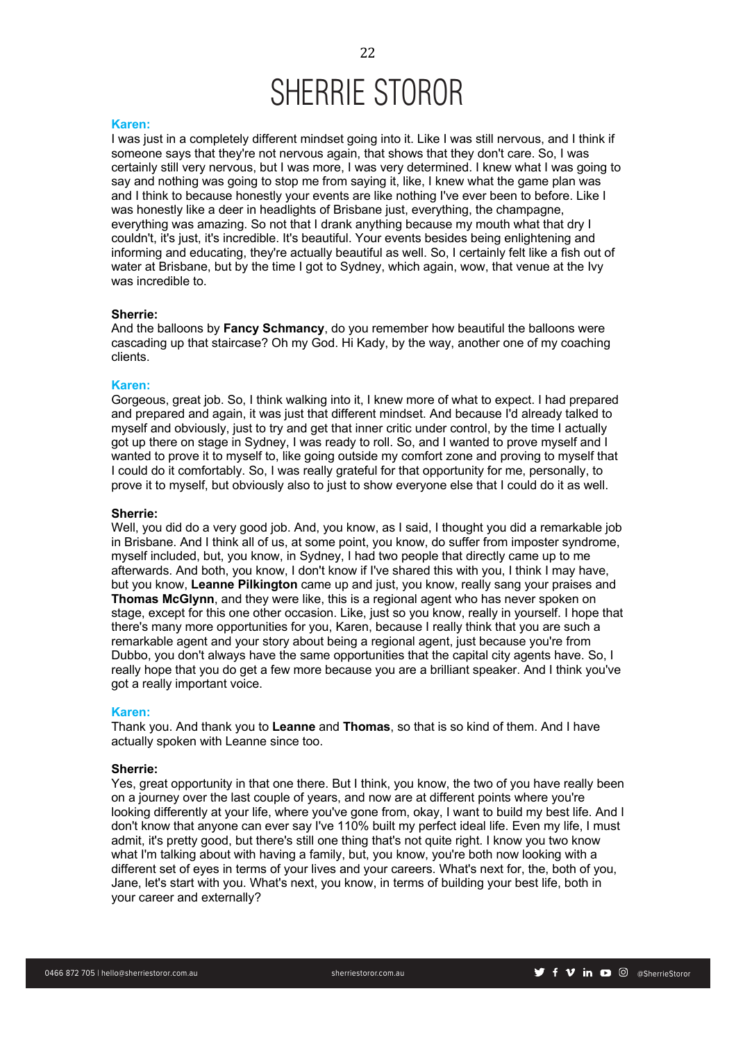#### **Karen:**

I was just in a completely different mindset going into it. Like I was still nervous, and I think if someone says that they're not nervous again, that shows that they don't care. So, I was certainly still very nervous, but I was more, I was very determined. I knew what I was going to say and nothing was going to stop me from saying it, like, I knew what the game plan was and I think to because honestly your events are like nothing I've ever been to before. Like I was honestly like a deer in headlights of Brisbane just, everything, the champagne, everything was amazing. So not that I drank anything because my mouth what that dry I couldn't, it's just, it's incredible. It's beautiful. Your events besides being enlightening and informing and educating, they're actually beautiful as well. So, I certainly felt like a fish out of water at Brisbane, but by the time I got to Sydney, which again, wow, that venue at the Ivy was incredible to.

#### **Sherrie:**

And the balloons by **Fancy Schmancy**, do you remember how beautiful the balloons were cascading up that staircase? Oh my God. Hi Kady, by the way, another one of my coaching clients.

#### **Karen:**

Gorgeous, great job. So, I think walking into it, I knew more of what to expect. I had prepared and prepared and again, it was just that different mindset. And because I'd already talked to myself and obviously, just to try and get that inner critic under control, by the time I actually got up there on stage in Sydney, I was ready to roll. So, and I wanted to prove myself and I wanted to prove it to myself to, like going outside my comfort zone and proving to myself that I could do it comfortably. So, I was really grateful for that opportunity for me, personally, to prove it to myself, but obviously also to just to show everyone else that I could do it as well.

#### **Sherrie:**

Well, you did do a very good job. And, you know, as I said, I thought you did a remarkable job in Brisbane. And I think all of us, at some point, you know, do suffer from imposter syndrome, myself included, but, you know, in Sydney, I had two people that directly came up to me afterwards. And both, you know, I don't know if I've shared this with you, I think I may have, but you know, **Leanne Pilkington** came up and just, you know, really sang your praises and **Thomas McGlynn**, and they were like, this is a regional agent who has never spoken on stage, except for this one other occasion. Like, just so you know, really in yourself. I hope that there's many more opportunities for you, Karen, because I really think that you are such a remarkable agent and your story about being a regional agent, just because you're from Dubbo, you don't always have the same opportunities that the capital city agents have. So, I really hope that you do get a few more because you are a brilliant speaker. And I think you've got a really important voice.

## **Karen:**

Thank you. And thank you to **Leanne** and **Thomas**, so that is so kind of them. And I have actually spoken with Leanne since too.

## **Sherrie:**

Yes, great opportunity in that one there. But I think, you know, the two of you have really been on a journey over the last couple of years, and now are at different points where you're looking differently at your life, where you've gone from, okay, I want to build my best life. And I don't know that anyone can ever say I've 110% built my perfect ideal life. Even my life, I must admit, it's pretty good, but there's still one thing that's not quite right. I know you two know what I'm talking about with having a family, but, you know, you're both now looking with a different set of eyes in terms of your lives and your careers. What's next for, the, both of you, Jane, let's start with you. What's next, you know, in terms of building your best life, both in your career and externally?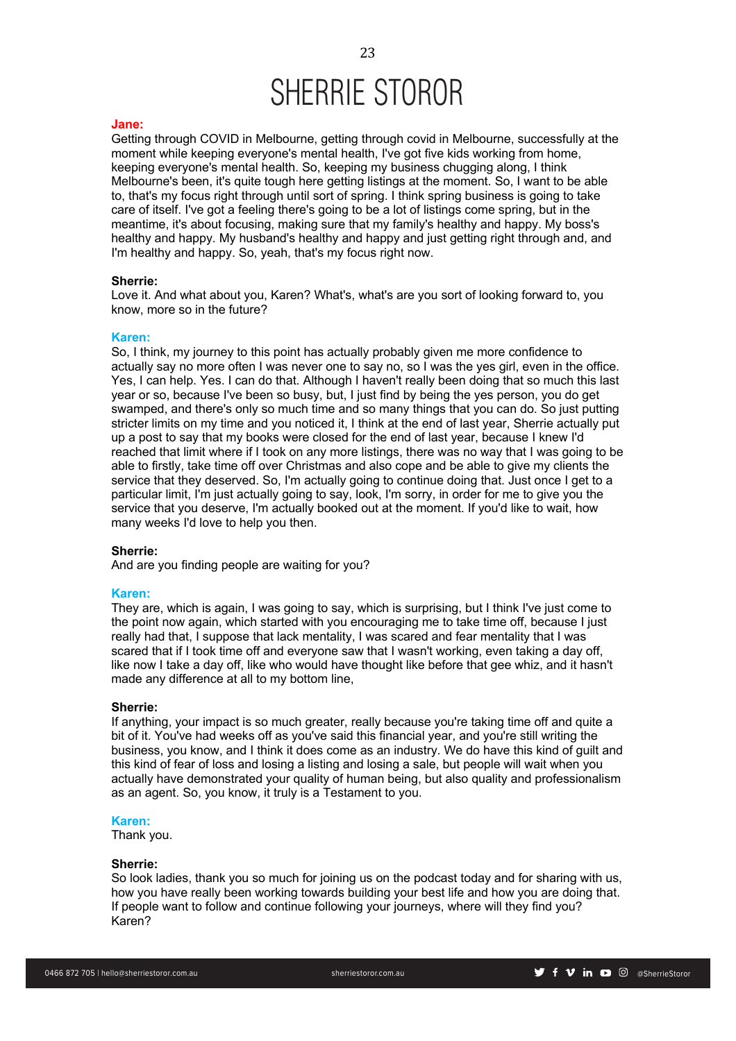#### **Jane:**

Getting through COVID in Melbourne, getting through covid in Melbourne, successfully at the moment while keeping everyone's mental health, I've got five kids working from home, keeping everyone's mental health. So, keeping my business chugging along, I think Melbourne's been, it's quite tough here getting listings at the moment. So, I want to be able to, that's my focus right through until sort of spring. I think spring business is going to take care of itself. I've got a feeling there's going to be a lot of listings come spring, but in the meantime, it's about focusing, making sure that my family's healthy and happy. My boss's healthy and happy. My husband's healthy and happy and just getting right through and, and I'm healthy and happy. So, yeah, that's my focus right now.

#### **Sherrie:**

Love it. And what about you, Karen? What's, what's are you sort of looking forward to, you know, more so in the future?

### **Karen:**

So, I think, my journey to this point has actually probably given me more confidence to actually say no more often I was never one to say no, so I was the yes girl, even in the office. Yes, I can help. Yes. I can do that. Although I haven't really been doing that so much this last year or so, because I've been so busy, but, I just find by being the yes person, you do get swamped, and there's only so much time and so many things that you can do. So just putting stricter limits on my time and you noticed it, I think at the end of last year, Sherrie actually put up a post to say that my books were closed for the end of last year, because I knew I'd reached that limit where if I took on any more listings, there was no way that I was going to be able to firstly, take time off over Christmas and also cope and be able to give my clients the service that they deserved. So, I'm actually going to continue doing that. Just once I get to a particular limit, I'm just actually going to say, look, I'm sorry, in order for me to give you the service that you deserve, I'm actually booked out at the moment. If you'd like to wait, how many weeks I'd love to help you then.

### **Sherrie:**

And are you finding people are waiting for you?

### **Karen:**

They are, which is again, I was going to say, which is surprising, but I think I've just come to the point now again, which started with you encouraging me to take time off, because I just really had that, I suppose that lack mentality, I was scared and fear mentality that I was scared that if I took time off and everyone saw that I wasn't working, even taking a day off, like now I take a day off, like who would have thought like before that gee whiz, and it hasn't made any difference at all to my bottom line,

#### **Sherrie:**

If anything, your impact is so much greater, really because you're taking time off and quite a bit of it. You've had weeks off as you've said this financial year, and you're still writing the business, you know, and I think it does come as an industry. We do have this kind of guilt and this kind of fear of loss and losing a listing and losing a sale, but people will wait when you actually have demonstrated your quality of human being, but also quality and professionalism as an agent. So, you know, it truly is a Testament to you.

#### **Karen:**

Thank you.

## **Sherrie:**

So look ladies, thank you so much for joining us on the podcast today and for sharing with us, how you have really been working towards building your best life and how you are doing that. If people want to follow and continue following your journeys, where will they find you? Karen?